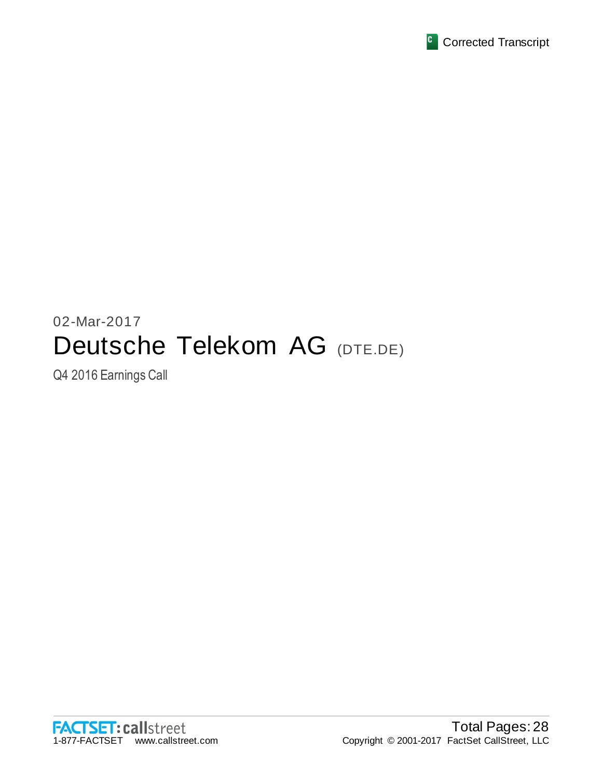

# 02-Mar-2017 Deutsche Telekom AG (DTE.DE)

Q4 2016 Earnings Call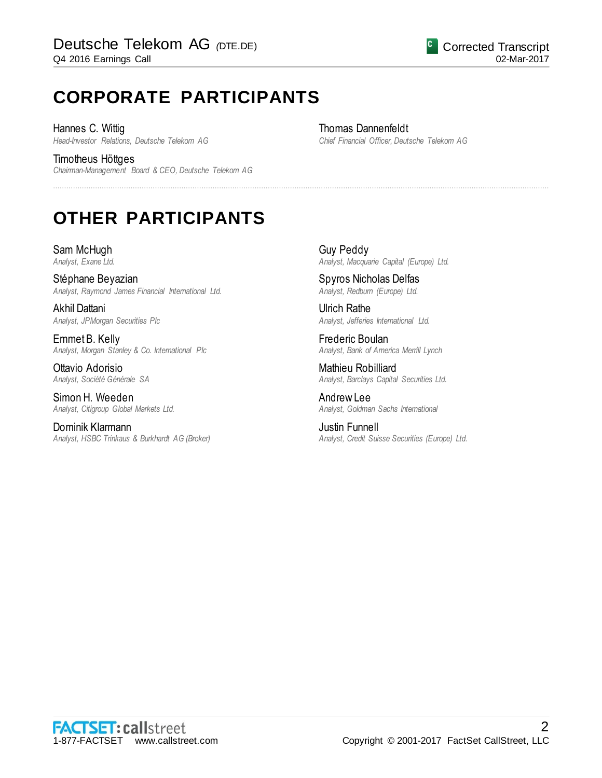# **CORPORATE PARTICIPANTS**

Hannes C. Wittig *Head-Investor Relations, Deutsche Telekom AG*

Timotheus Höttges *Chairman-Management Board & CEO, Deutsche Telekom AG* Thomas Dannenfeldt *Chief Financial Officer, Deutsche Telekom AG*

# **OTHER PARTICIPANTS**

Sam McHugh *Analyst, Exane Ltd.*

Stéphane Beyazian *Analyst, Raymond James Financial International Ltd.*

Akhil Dattani *Analyst, JPMorgan Securities Plc*

Emmet B. Kelly *Analyst, Morgan Stanley & Co. International Plc*

Ottavio Adorisio *Analyst, Société Générale SA*

Simon H. Weeden *Analyst, Citigroup Global Markets Ltd.*

Dominik Klarmann *Analyst, HSBC Trinkaus & Burkhardt AG (Broker)* Guy Peddy *Analyst, Macquarie Capital (Europe) Ltd.*

Spyros Nicholas Delfas *Analyst, Redburn (Europe) Ltd.*

................................................................................................................................................................................................................................

Ulrich Rathe *Analyst, Jefferies International Ltd.*

Frederic Boulan *Analyst, Bank of America Merrill Lynch*

Mathieu Robilliard *Analyst, Barclays Capital Securities Ltd.*

Andrew Lee *Analyst, Goldman Sachs International*

Justin Funnell *Analyst, Credit Suisse Securities (Europe) Ltd.*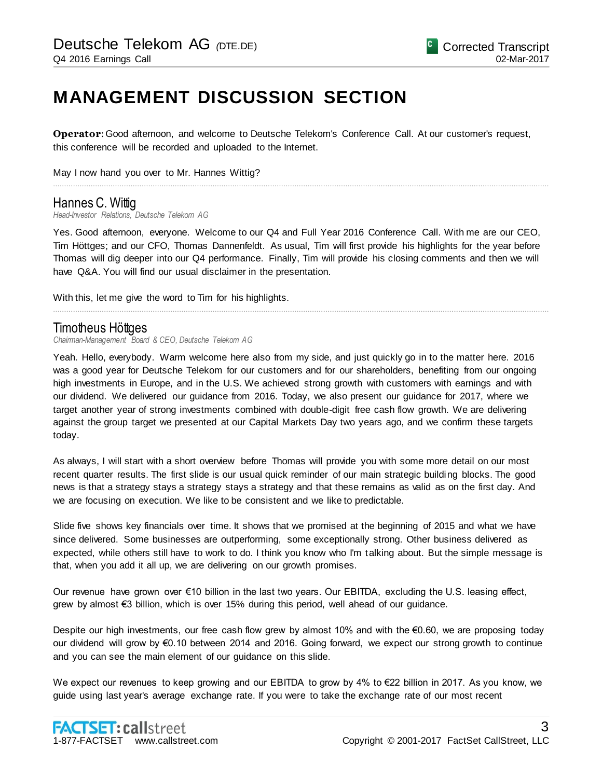# **MANAGEMENT DISCUSSION SECTION**

**Operator**: Good afternoon, and welcome to Deutsche Telekom's Conference Call. At our customer's request, this conference will be recorded and uploaded to the Internet.

May I now hand you over to Mr. Hannes Wittig?

# Hannes C. Wittig

*Head-Investor Relations, Deutsche Telekom AG*

Yes. Good afternoon, everyone. Welcome to our Q4 and Full Year 2016 Conference Call. With me are our CEO, Tim Höttges; and our CFO, Thomas Dannenfeldt. As usual, Tim will first provide his highlights for the year before Thomas will dig deeper into our Q4 performance. Finally, Tim will provide his closing comments and then we will have Q&A. You will find our usual disclaimer in the presentation.

................................................................................................................................................................................................................................

................................................................................................................................................................................................................................

With this, let me give the word to Tim for his highlights.

# Timotheus Höttges

*Chairman-Management Board & CEO, Deutsche Telekom AG*

Yeah. Hello, everybody. Warm welcome here also from my side, and just quickly go in to the matter here. 2016 was a good year for Deutsche Telekom for our customers and for our shareholders, benefiting from our ongoing high investments in Europe, and in the U.S. We achieved strong growth with customers with earnings and with our dividend. We delivered our guidance from 2016. Today, we also present our guidance for 2017, where we target another year of strong investments combined with double-digit free cash flow growth. We are delivering against the group target we presented at our Capital Markets Day two years ago, and we confirm these targets today.

As always, I will start with a short overview before Thomas will provide you with some more detail on our most recent quarter results. The first slide is our usual quick reminder of our main strategic building blocks. The good news is that a strategy stays a strategy stays a strategy and that these remains as valid as on the first day. And we are focusing on execution. We like to be consistent and we like to predictable.

Slide five shows key financials over time. It shows that we promised at the beginning of 2015 and what we have since delivered. Some businesses are outperforming, some exceptionally strong. Other business delivered as expected, while others still have to work to do. I think you know who I'm talking about. But the simple message is that, when you add it all up, we are delivering on our growth promises.

Our revenue have grown over €10 billion in the last two years. Our EBITDA, excluding the U.S. leasing effect, grew by almost €3 billion, which is over 15% during this period, well ahead of our guidance.

Despite our high investments, our free cash flow grew by almost 10% and with the €0.60, we are proposing today our dividend will grow by €0.10 between 2014 and 2016. Going forward, we expect our strong growth to continue and you can see the main element of our guidance on this slide.

We expect our revenues to keep growing and our EBITDA to grow by 4% to €22 billion in 2017. As you know, we guide using last year's average exchange rate. If you were to take the exchange rate of our most recent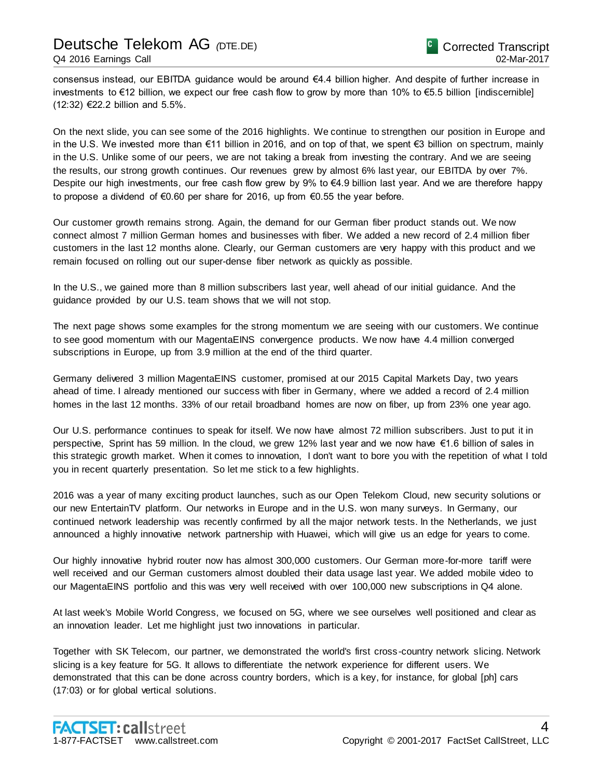# Deutsche Telekom AG *(*DTE.DE) Q4 2016 Earnings Call

consensus instead, our EBITDA guidance would be around €4.4 billion higher. And despite of further increase in investments to €12 billion, we expect our free cash flow to grow by more than 10% to €5.5 billion [indiscernible] (12:32) €22.2 billion and 5.5%.

On the next slide, you can see some of the 2016 highlights. We continue to strengthen our position in Europe and in the U.S. We invested more than €11 billion in 2016, and on top of that, we spent €3 billion on spectrum, mainly in the U.S. Unlike some of our peers, we are not taking a break from investing the contrary. And we are seeing the results, our strong growth continues. Our revenues grew by almost 6% last year, our EBITDA by over 7%. Despite our high investments, our free cash flow grew by 9% to €4.9 billion last year. And we are therefore happy to propose a dividend of €0.60 per share for 2016, up from €0.55 the year before.

Our customer growth remains strong. Again, the demand for our German fiber product stands out. We now connect almost 7 million German homes and businesses with fiber. We added a new record of 2.4 million fiber customers in the last 12 months alone. Clearly, our German customers are very happy with this product and we remain focused on rolling out our super-dense fiber network as quickly as possible.

In the U.S., we gained more than 8 million subscribers last year, well ahead of our initial guidance. And the guidance provided by our U.S. team shows that we will not stop.

The next page shows some examples for the strong momentum we are seeing with our customers. We continue to see good momentum with our MagentaEINS convergence products. We now have 4.4 million converged subscriptions in Europe, up from 3.9 million at the end of the third quarter.

Germany delivered 3 million MagentaEINS customer, promised at our 2015 Capital Markets Day, two years ahead of time. I already mentioned our success with fiber in Germany, where we added a record of 2.4 million homes in the last 12 months. 33% of our retail broadband homes are now on fiber, up from 23% one year ago.

Our U.S. performance continues to speak for itself. We now have almost 72 million subscribers. Just to put it in perspective, Sprint has 59 million. In the cloud, we grew 12% last year and we now have €1.6 billion of sales in this strategic growth market. When it comes to innovation, I don't want to bore you with the repetition of what I told you in recent quarterly presentation. So let me stick to a few highlights.

2016 was a year of many exciting product launches, such as our Open Telekom Cloud, new security solutions or our new EntertainTV platform. Our networks in Europe and in the U.S. won many surveys. In Germany, our continued network leadership was recently confirmed by all the major network tests. In the Netherlands, we just announced a highly innovative network partnership with Huawei, which will give us an edge for years to come.

Our highly innovative hybrid router now has almost 300,000 customers. Our German more-for-more tariff were well received and our German customers almost doubled their data usage last year. We added mobile video to our MagentaEINS portfolio and this was very well received with over 100,000 new subscriptions in Q4 alone.

At last week's Mobile World Congress, we focused on 5G, where we see ourselves well positioned and clear as an innovation leader. Let me highlight just two innovations in particular.

Together with SK Telecom, our partner, we demonstrated the world's first cross-country network slicing. Network slicing is a key feature for 5G. It allows to differentiate the network experience for different users. We demonstrated that this can be done across country borders, which is a key, for instance, for global [ph] cars (17:03) or for global vertical solutions.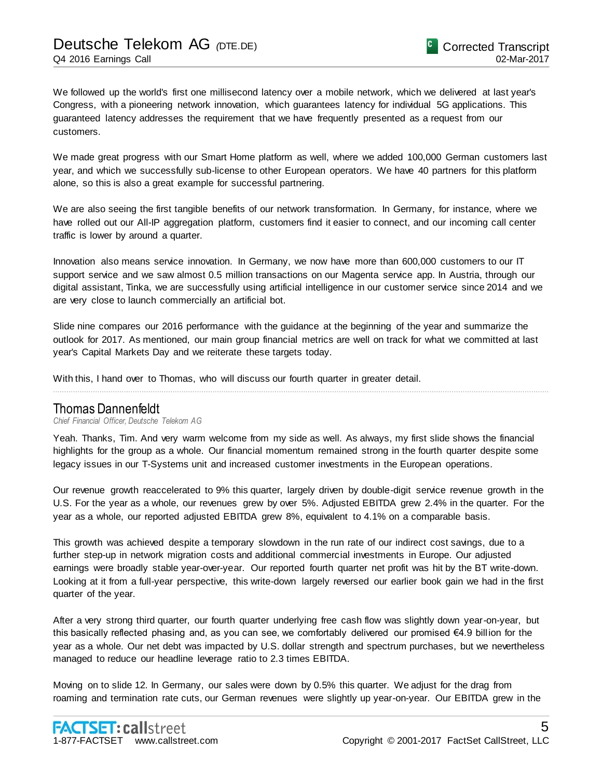We followed up the world's first one millisecond latency over a mobile network, which we delivered at last year's Congress, with a pioneering network innovation, which guarantees latency for individual 5G applications. This guaranteed latency addresses the requirement that we have frequently presented as a request from our customers.

We made great progress with our Smart Home platform as well, where we added 100,000 German customers last year, and which we successfully sub-license to other European operators. We have 40 partners for this platform alone, so this is also a great example for successful partnering.

We are also seeing the first tangible benefits of our network transformation. In Germany, for instance, where we have rolled out our All-IP aggregation platform, customers find it easier to connect, and our incoming call center traffic is lower by around a quarter.

Innovation also means service innovation. In Germany, we now have more than 600,000 customers to our IT support service and we saw almost 0.5 million transactions on our Magenta service app. In Austria, through our digital assistant, Tinka, we are successfully using artificial intelligence in our customer service since 2014 and we are very close to launch commercially an artificial bot.

Slide nine compares our 2016 performance with the guidance at the beginning of the year and summarize the outlook for 2017. As mentioned, our main group financial metrics are well on track for what we committed at last year's Capital Markets Day and we reiterate these targets today.

................................................................................................................................................................................................................................

With this, I hand over to Thomas, who will discuss our fourth quarter in greater detail.

# Thomas Dannenfeldt

*Chief Financial Officer, Deutsche Telekom AG*

Yeah. Thanks, Tim. And very warm welcome from my side as well. As always, my first slide shows the financial highlights for the group as a whole. Our financial momentum remained strong in the fourth quarter despite some legacy issues in our T-Systems unit and increased customer investments in the European operations.

Our revenue growth reaccelerated to 9% this quarter, largely driven by double-digit service revenue growth in the U.S. For the year as a whole, our revenues grew by over 5%. Adjusted EBITDA grew 2.4% in the quarter. For the year as a whole, our reported adjusted EBITDA grew 8%, equivalent to 4.1% on a comparable basis.

This growth was achieved despite a temporary slowdown in the run rate of our indirect cost savings, due to a further step-up in network migration costs and additional commercial investments in Europe. Our adjusted earnings were broadly stable year-over-year. Our reported fourth quarter net profit was hit by the BT write-down. Looking at it from a full-year perspective, this write-down largely reversed our earlier book gain we had in the first quarter of the year.

After a very strong third quarter, our fourth quarter underlying free cash flow was slightly down year-on-year, but this basically reflected phasing and, as you can see, we comfortably delivered our promised €4.9 bill ion for the year as a whole. Our net debt was impacted by U.S. dollar strength and spectrum purchases, but we nevertheless managed to reduce our headline leverage ratio to 2.3 times EBITDA.

Moving on to slide 12. In Germany, our sales were down by 0.5% this quarter. We adjust for the drag from roaming and termination rate cuts, our German revenues were slightly up year-on-year. Our EBITDA grew in the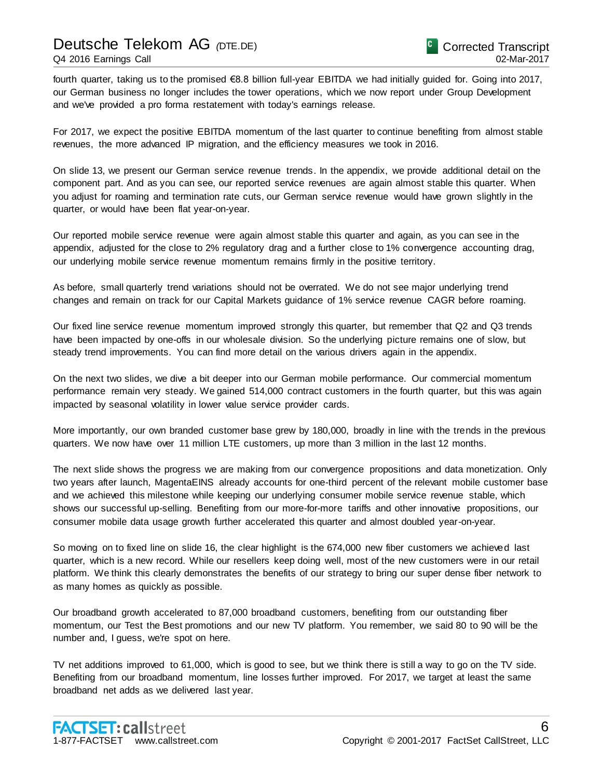# Deutsche Telekom AG *(*DTE.DE) Q4 2016 Earnings Call

fourth quarter, taking us to the promised €8.8 billion full-year EBITDA we had initially guided for. Going into 2017, our German business no longer includes the tower operations, which we now report under Group Development and we've provided a pro forma restatement with today's earnings release.

For 2017, we expect the positive EBITDA momentum of the last quarter to continue benefiting from almost stable revenues, the more advanced IP migration, and the efficiency measures we took in 2016.

On slide 13, we present our German service revenue trends. In the appendix, we provide additional detail on the component part. And as you can see, our reported service revenues are again almost stable this quarter. When you adjust for roaming and termination rate cuts, our German service revenue would have grown slightly in the quarter, or would have been flat year-on-year.

Our reported mobile service revenue were again almost stable this quarter and again, as you can see in the appendix, adjusted for the close to 2% regulatory drag and a further close to 1% convergence accounting drag, our underlying mobile service revenue momentum remains firmly in the positive territory.

As before, small quarterly trend variations should not be overrated. We do not see major underlying trend changes and remain on track for our Capital Markets guidance of 1% service revenue CAGR before roaming.

Our fixed line service revenue momentum improved strongly this quarter, but remember that Q2 and Q3 trends have been impacted by one-offs in our wholesale division. So the underlying picture remains one of slow, but steady trend improvements. You can find more detail on the various drivers again in the appendix.

On the next two slides, we dive a bit deeper into our German mobile performance. Our commercial momentum performance remain very steady. We gained 514,000 contract customers in the fourth quarter, but this was again impacted by seasonal volatility in lower value service provider cards.

More importantly, our own branded customer base grew by 180,000, broadly in line with the trends in the previous quarters. We now have over 11 million LTE customers, up more than 3 million in the last 12 months.

The next slide shows the progress we are making from our convergence propositions and data monetization. Only two years after launch, MagentaEINS already accounts for one-third percent of the relevant mobile customer base and we achieved this milestone while keeping our underlying consumer mobile service revenue stable, which shows our successful up-selling. Benefiting from our more-for-more tariffs and other innovative propositions, our consumer mobile data usage growth further accelerated this quarter and almost doubled year-on-year.

So moving on to fixed line on slide 16, the clear highlight is the 674,000 new fiber customers we achieved last quarter, which is a new record. While our resellers keep doing well, most of the new customers were in our retail platform. We think this clearly demonstrates the benefits of our strategy to bring our super dense fiber network to as many homes as quickly as possible.

Our broadband growth accelerated to 87,000 broadband customers, benefiting from our outstanding fiber momentum, our Test the Best promotions and our new TV platform. You remember, we said 80 to 90 will be the number and, I guess, we're spot on here.

TV net additions improved to 61,000, which is good to see, but we think there is still a way to go on the TV side. Benefiting from our broadband momentum, line losses further improved. For 2017, we target at least the same broadband net adds as we delivered last year.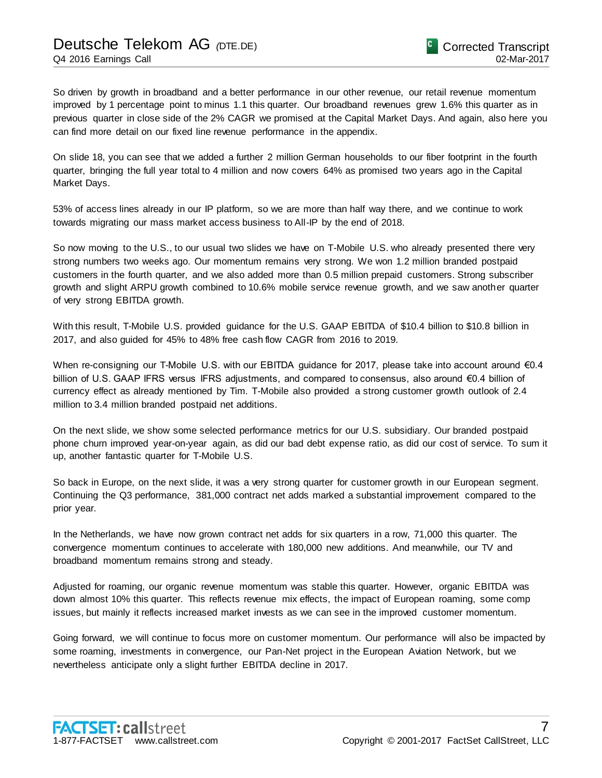So driven by growth in broadband and a better performance in our other revenue, our retail revenue momentum improved by 1 percentage point to minus 1.1 this quarter. Our broadband revenues grew 1.6% this quarter as in previous quarter in close side of the 2% CAGR we promised at the Capital Market Days. And again, also here you can find more detail on our fixed line revenue performance in the appendix.

On slide 18, you can see that we added a further 2 million German households to our fiber footprint in the fourth quarter, bringing the full year total to 4 million and now covers 64% as promised two years ago in the Capital Market Days.

53% of access lines already in our IP platform, so we are more than half way there, and we continue to work towards migrating our mass market access business to All-IP by the end of 2018.

So now moving to the U.S., to our usual two slides we have on T-Mobile U.S. who already presented there very strong numbers two weeks ago. Our momentum remains very strong. We won 1.2 million branded postpaid customers in the fourth quarter, and we also added more than 0.5 million prepaid customers. Strong subscriber growth and slight ARPU growth combined to 10.6% mobile service revenue growth, and we saw another quarter of very strong EBITDA growth.

With this result, T-Mobile U.S. provided guidance for the U.S. GAAP EBITDA of \$10.4 billion to \$10.8 billion in 2017, and also guided for 45% to 48% free cash flow CAGR from 2016 to 2019.

When re-consigning our T-Mobile U.S. with our EBITDA guidance for 2017, please take into account around €0.4 billion of U.S. GAAP IFRS versus IFRS adjustments, and compared to consensus, also around €0.4 billion of currency effect as already mentioned by Tim. T-Mobile also provided a strong customer growth outlook of 2.4 million to 3.4 million branded postpaid net additions.

On the next slide, we show some selected performance metrics for our U.S. subsidiary. Our branded postpaid phone churn improved year-on-year again, as did our bad debt expense ratio, as did our cost of service. To sum it up, another fantastic quarter for T-Mobile U.S.

So back in Europe, on the next slide, it was a very strong quarter for customer growth in our European segment. Continuing the Q3 performance, 381,000 contract net adds marked a substantial improvement compared to the prior year.

In the Netherlands, we have now grown contract net adds for six quarters in a row, 71,000 this quarter. The convergence momentum continues to accelerate with 180,000 new additions. And meanwhile, our TV and broadband momentum remains strong and steady.

Adjusted for roaming, our organic revenue momentum was stable this quarter. However, organic EBITDA was down almost 10% this quarter. This reflects revenue mix effects, the impact of European roaming, some comp issues, but mainly it reflects increased market invests as we can see in the improved customer momentum.

Going forward, we will continue to focus more on customer momentum. Our performance will also be impacted by some roaming, investments in convergence, our Pan-Net project in the European Aviation Network, but we nevertheless anticipate only a slight further EBITDA decline in 2017.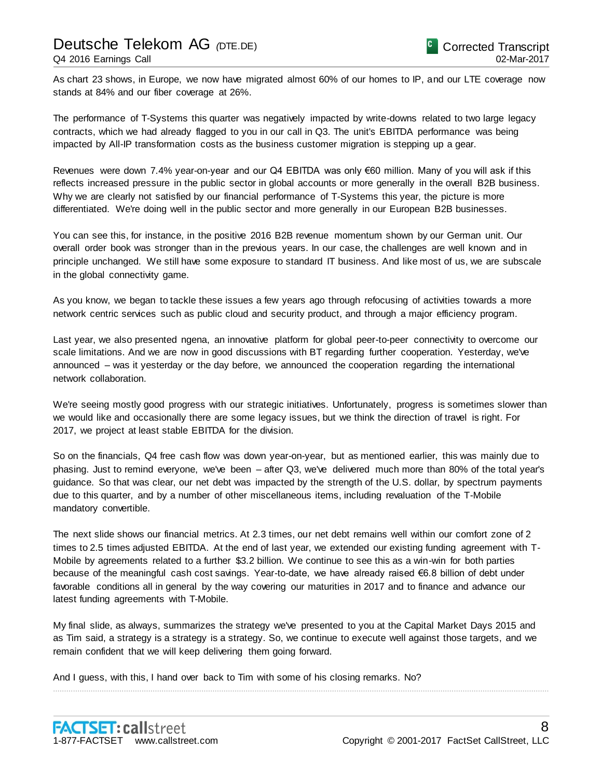Q4 2016 Earnings Call

As chart 23 shows, in Europe, we now have migrated almost 60% of our homes to IP, and our LTE coverage now stands at 84% and our fiber coverage at 26%.

The performance of T-Systems this quarter was negatively impacted by write-downs related to two large legacy contracts, which we had already flagged to you in our call in Q3. The unit's EBITDA performance was being impacted by All-IP transformation costs as the business customer migration is stepping up a gear.

Revenues were down 7.4% year-on-year and our Q4 EBITDA was only €60 million. Many of you will ask if this reflects increased pressure in the public sector in global accounts or more generally in the overall B2B business. Why we are clearly not satisfied by our financial performance of T-Systems this year, the picture is more differentiated. We're doing well in the public sector and more generally in our European B2B businesses.

You can see this, for instance, in the positive 2016 B2B revenue momentum shown by our German unit. Our overall order book was stronger than in the previous years. In our case, the challenges are well known and in principle unchanged. We still have some exposure to standard IT business. And like most of us, we are subscale in the global connectivity game.

As you know, we began to tackle these issues a few years ago through refocusing of activities towards a more network centric services such as public cloud and security product, and through a major efficiency program.

Last year, we also presented ngena, an innovative platform for global peer-to-peer connectivity to overcome our scale limitations. And we are now in good discussions with BT regarding further cooperation. Yesterday, we've announced – was it yesterday or the day before, we announced the cooperation regarding the international network collaboration.

We're seeing mostly good progress with our strategic initiatives. Unfortunately, progress is sometimes slower than we would like and occasionally there are some legacy issues, but we think the direction of travel is right. For 2017, we project at least stable EBITDA for the division.

So on the financials, Q4 free cash flow was down year-on-year, but as mentioned earlier, this was mainly due to phasing. Just to remind everyone, we've been – after Q3, we've delivered much more than 80% of the total year's guidance. So that was clear, our net debt was impacted by the strength of the U.S. dollar, by spectrum payments due to this quarter, and by a number of other miscellaneous items, including revaluation of the T-Mobile mandatory convertible.

The next slide shows our financial metrics. At 2.3 times, our net debt remains well within our comfort zone of 2 times to 2.5 times adjusted EBITDA. At the end of last year, we extended our existing funding agreement with T-Mobile by agreements related to a further \$3.2 billion. We continue to see this as a win-win for both parties because of the meaningful cash cost savings. Year-to-date, we have already raised €6.8 billion of debt under favorable conditions all in general by the way covering our maturities in 2017 and to finance and advance our latest funding agreements with T-Mobile.

My final slide, as always, summarizes the strategy we've presented to you at the Capital Market Days 2015 and as Tim said, a strategy is a strategy is a strategy. So, we continue to execute well against those targets, and we remain confident that we will keep delivering them going forward.

................................................................................................................................................................................................................................

And I guess, with this, I hand over back to Tim with some of his closing remarks. No?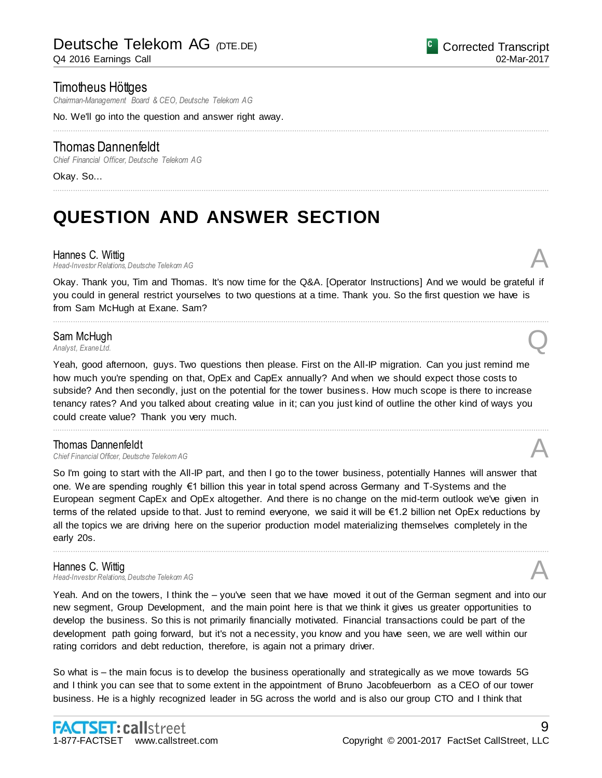Corrected Transcript 02-Mar-2017

# Timotheus Höttges

*Chairman-Management Board & CEO, Deutsche Telekom AG*

No. We'll go into the question and answer right away.

# Thomas Dannenfeldt

*Chief Financial Officer, Deutsche Telekom AG*

Okay. So...

# **QUESTION AND ANSWER SECTION**

**Hannes C. Wittig**<br>Head-Investor Relations, Deutsche Telekom AG *Head-Investor Relations, Deutsche Telekom AG* A

Okay. Thank you, Tim and Thomas. It's now time for the Q&A. [Operator Instructions] And we would be grateful if you could in general restrict yourselves to two questions at a time. Thank you. So the first question we have is from Sam McHugh at Exane. Sam?

................................................................................................................................................................................................................................

................................................................................................................................................................................................................................

................................................................................................................................................................................................................................

# Sam McHugh **Sam McHugh analyst, ExaneLtd.** Q

Yeah, good afternoon, guys. Two questions then please. First on the All-IP migration. Can you just remind me how much you're spending on that, OpEx and CapEx annually? And when we should expect those costs to subside? And then secondly, just on the potential for the tower business. How much scope is there to increase tenancy rates? And you talked about creating value in it; can you just kind of outline the other kind of ways you could create value? Thank you very much.

................................................................................................................................................................................................................................

# Thomas Dannenfeldt

*Chief Financial Officer, Deutsche TelekomAG* A

So I'm going to start with the All-IP part, and then I go to the tower business, potentially Hannes will answer that one. We are spending roughly €1 billion this year in total spend across Germany and T-Systems and the European segment CapEx and OpEx altogether. And there is no change on the mid-term outlook we've given in terms of the related upside to that. Just to remind everyone, we said it will be €1.2 billion net OpEx reductions by all the topics we are driving here on the superior production model materializing themselves completely in the early 20s.

................................................................................................................................................................................................................................

**Hannes C. Wittig**<br>Head-Investor Relations, Deutsche Telekom AG *Head-Investor Relations, Deutsche Telekom AG* A

Yeah. And on the towers, I think the – you've seen that we have moved it out of the German segment and into our new segment, Group Development, and the main point here is that we think it gives us greater opportunities to develop the business. So this is not primarily financially motivated. Financial transactions could be part of the development path going forward, but it's not a necessity, you know and you have seen, we are well within our rating corridors and debt reduction, therefore, is again not a primary driver.

So what is – the main focus is to develop the business operationally and strategically as we move towards 5G and I think you can see that to some extent in the appointment of Bruno Jacobfeuerborn as a CEO of our tower business. He is a highly recognized leader in 5G across the world and is also our group CTO and I think that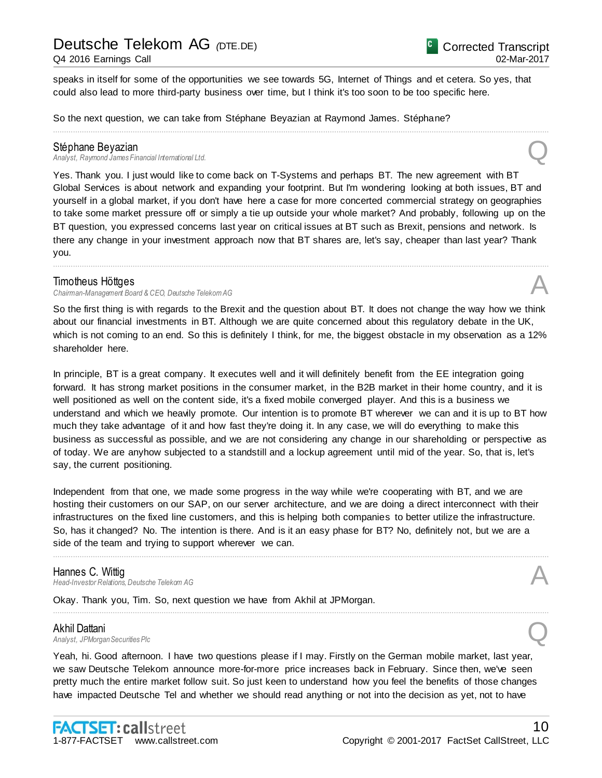speaks in itself for some of the opportunities we see towards 5G, Internet of Things and et cetera. So yes, that could also lead to more third-party business over time, but I think it's too soon to be too specific here.

................................................................................................................................................................................................................................

So the next question, we can take from Stéphane Beyazian at Raymond James. Stéphane?

### Stéphane Beyazian

*Analyst, Raymond James Financial International Ltd.* Q

Yes. Thank you. I just would like to come back on T-Systems and perhaps BT. The new agreement with BT Global Services is about network and expanding your footprint. But I'm wondering looking at both issues, BT and yourself in a global market, if you don't have here a case for more concerted commercial strategy on geographies to take some market pressure off or simply a tie up outside your whole market? And probably, following up on the BT question, you expressed concerns last year on critical issues at BT such as Brexit, pensions and network. Is there any change in your investment approach now that BT shares are, let's say, cheaper than last year? Thank you.

................................................................................................................................................................................................................................

# Timotheus Höttges

**Chairman-Management Board & CEO, Deutsche Telekom AG** 

So the first thing is with regards to the Brexit and the question about BT. It does not change the way how we think about our financial investments in BT. Although we are quite concerned about this regulatory debate in the UK, which is not coming to an end. So this is definitely I think, for me, the biggest obstacle in my observation as a 12% shareholder here.

In principle, BT is a great company. It executes well and it will definitely benefit from the EE integration going forward. It has strong market positions in the consumer market, in the B2B market in their home country, and it is well positioned as well on the content side, it's a fixed mobile converged player. And this is a business we understand and which we heavily promote. Our intention is to promote BT wherever we can and it is up to BT how much they take advantage of it and how fast they're doing it. In any case, we will do everything to make this business as successful as possible, and we are not considering any change in our shareholding or perspective as of today. We are anyhow subjected to a standstill and a lockup agreement until mid of the year. So, that is, let's say, the current positioning.

Independent from that one, we made some progress in the way while we're cooperating with BT, and we are hosting their customers on our SAP, on our server architecture, and we are doing a direct interconnect with their infrastructures on the fixed line customers, and this is helping both companies to better utilize the infrastructure. So, has it changed? No. The intention is there. And is it an easy phase for BT? No, definitely not, but we are a side of the team and trying to support wherever we can.

................................................................................................................................................................................................................................

................................................................................................................................................................................................................................

### Hannes C. Wittig

*Head-Investor Relations, Deutsche Telekom AG* A

Okay. Thank you, Tim. So, next question we have from Akhil at JPMorgan.

### Akhil Dattani

*Analyst, JPMorgan Securities Plc* Q

Yeah, hi. Good afternoon. I have two questions please if I may. Firstly on the German mobile market, last year, we saw Deutsche Telekom announce more-for-more price increases back in February. Since then, we've seen pretty much the entire market follow suit. So just keen to understand how you feel the benefits of those changes have impacted Deutsche Tel and whether we should read anything or not into the decision as yet, not to have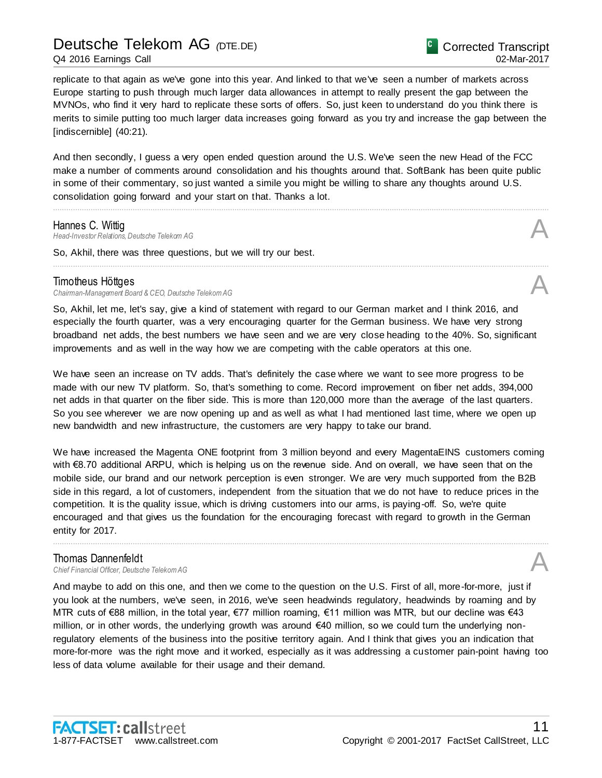Q4 2016 Earnings Call

Corrected Transcript 02-Mar-2017

replicate to that again as we've gone into this year. And linked to that we've seen a number of markets across Europe starting to push through much larger data allowances in attempt to really present the gap between the MVNOs, who find it very hard to replicate these sorts of offers. So, just keen to understand do you think there is merits to simile putting too much larger data increases going forward as you try and increase the gap between the [indiscernible] (40:21).

And then secondly, I guess a very open ended question around the U.S. We've seen the new Head of the FCC make a number of comments around consolidation and his thoughts around that. SoftBank has been quite public in some of their commentary, so just wanted a simile you might be willing to share any thoughts around U.S. consolidation going forward and your start on that. Thanks a lot.

................................................................................................................................................................................................................................

................................................................................................................................................................................................................................

**Hannes C. Wittig**<br>Head-Investor Relations, Deutsche Telekom AG *Head-Investor Relations, Deutsche Telekom AG* A

So, Akhil, there was three questions, but we will try our best.

# Timotheus Höttges

**Chairman-Management Board & CEO, Deutsche Telekom AG** 

So, Akhil, let me, let's say, give a kind of statement with regard to our German market and I think 2016, and especially the fourth quarter, was a very encouraging quarter for the German business. We have very strong broadband net adds, the best numbers we have seen and we are very close heading to the 40%. So, significant improvements and as well in the way how we are competing with the cable operators at this one.

We have seen an increase on TV adds. That's definitely the case where we want to see more progress to be made with our new TV platform. So, that's something to come. Record improvement on fiber net adds, 394,000 net adds in that quarter on the fiber side. This is more than 120,000 more than the average of the last quarters. So you see wherever we are now opening up and as well as what I had mentioned last time, where we open up new bandwidth and new infrastructure, the customers are very happy to take our brand.

We have increased the Magenta ONE footprint from 3 million beyond and every MagentaEINS customers coming with €8.70 additional ARPU, which is helping us on the revenue side. And on overall, we have seen that on the mobile side, our brand and our network perception is even stronger. We are very much supported from the B2B side in this regard, a lot of customers, independent from the situation that we do not have to reduce prices in the competition. It is the quality issue, which is driving customers into our arms, is paying-off. So, we're quite encouraged and that gives us the foundation for the encouraging forecast with regard to growth in the German entity for 2017.

................................................................................................................................................................................................................................

# Thomas Dannenfeldt

*Chief Financial Officer, Deutsche Telekom AG* A

And maybe to add on this one, and then we come to the question on the U.S. First of all, more-for-more, just if you look at the numbers, we've seen, in 2016, we've seen headwinds regulatory, headwinds by roaming and by MTR cuts of €88 million, in the total year, €77 million roaming, €11 million was MTR, but our decline was €43 million, or in other words, the underlying growth was around €40 million, so we could turn the underlying nonregulatory elements of the business into the positive territory again. And I think that gives you an indication that more-for-more was the right move and it worked, especially as it was addressing a customer pain-point having too less of data volume available for their usage and their demand.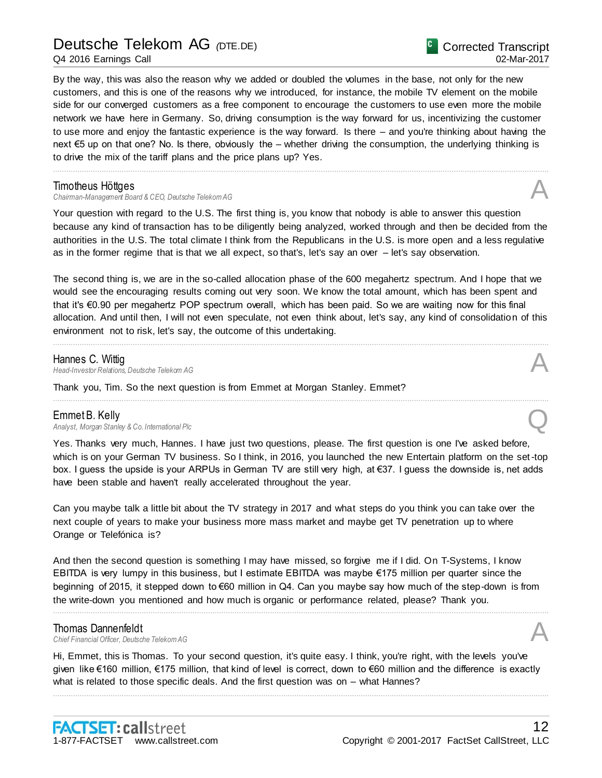Q4 2016 Earnings Call

By the way, this was also the reason why we added or doubled the volumes in the base, not only for the new customers, and this is one of the reasons why we introduced, for instance, the mobile TV element on the mobile side for our converged customers as a free component to encourage the customers to use even more the mobile network we have here in Germany. So, driving consumption is the way forward for us, incentivizing the customer to use more and enjoy the fantastic experience is the way forward. Is there – and you're thinking about having the next €5 up on that one? No. Is there, obviously the – whether driving the consumption, the underlying thinking is to drive the mix of the tariff plans and the price plans up? Yes.

................................................................................................................................................................................................................................

# Timotheus Höttges

**Chairman-Management Board & CEO, Deutsche Telekom AG** 

Your question with regard to the U.S. The first thing is, you know that nobody is able to answer this question because any kind of transaction has to be diligently being analyzed, worked through and then be decided from the authorities in the U.S. The total climate I think from the Republicans in the U.S. is more open and a less regulative as in the former regime that is that we all expect, so that's, let's say an over – let's say observation.

The second thing is, we are in the so-called allocation phase of the 600 megahertz spectrum. And I hope that we would see the encouraging results coming out very soon. We know the total amount, which has been spent and that it's €0.90 per megahertz POP spectrum overall, which has been paid. So we are waiting now for this final allocation. And until then, I will not even speculate, not even think about, let's say, any kind of consolidation of this environment not to risk, let's say, the outcome of this undertaking.

................................................................................................................................................................................................................................

................................................................................................................................................................................................................................

## Hannes C. Wittig

*Head-Investor Relations, Deutsche Telekom AG* A

Thank you, Tim. So the next question is from Emmet at Morgan Stanley. Emmet?

# Emmet B. Kelly

*Analyst, Morgan Stanley & Co. International Plc* Q

Yes. Thanks very much, Hannes. I have just two questions, please. The first question is one I've asked before, which is on your German TV business. So I think, in 2016, you launched the new Entertain platform on the set-top box. I guess the upside is your ARPUs in German TV are still very high, at €37. I guess the downside is, net adds have been stable and haven't really accelerated throughout the year.

Can you maybe talk a little bit about the TV strategy in 2017 and what steps do you think you can take over the next couple of years to make your business more mass market and maybe get TV penetration up to where Orange or Telefónica is?

And then the second question is something I may have missed, so forgive me if I did. On T-Systems, I know EBITDA is very lumpy in this business, but I estimate EBITDA was maybe €175 million per quarter since the beginning of 2015, it stepped down to €60 million in Q4. Can you maybe say how much of the step-down is from the write-down you mentioned and how much is organic or performance related, please? Thank you.

................................................................................................................................................................................................................................

# Thomas Dannenfeldt

*Chief Financial Officer, Deutsche Telekom AG* A

Hi, Emmet, this is Thomas. To your second question, it's quite easy. I think, you're right, with the levels you've given like €160 million, €175 million, that kind of level is correct, down to €60 million and the difference is exactly what is related to those specific deals. And the first question was on – what Hannes?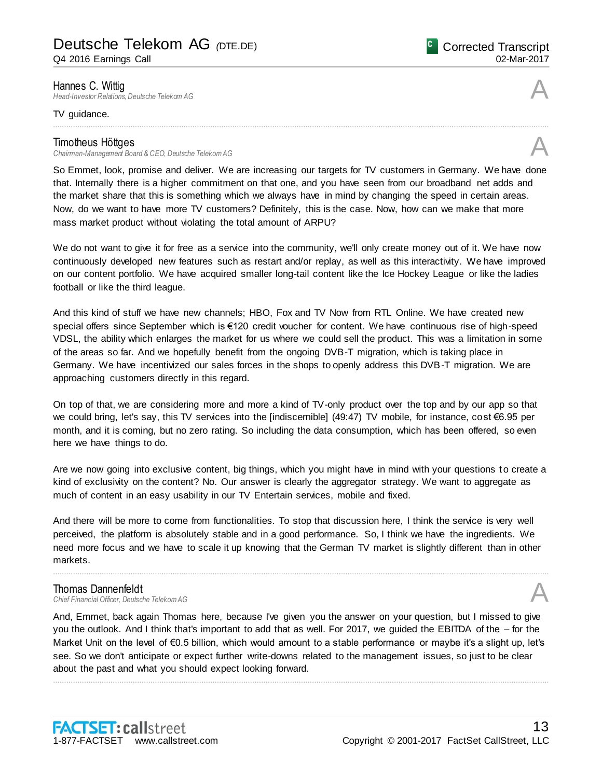Q4 2016 Earnings Call

# **Hannes C. Wittig**<br>Head-Investor Relations, Deutsche Telekom AG

*Head-Investor Relations,Deutsche Telekom AG* A

## TV guidance.

## Timotheus Höttges

**Chairman-Management Board & CEO, Deutsche Telekom AG** 

Corrected Transcript 02-Mar-2017

So Emmet, look, promise and deliver. We are increasing our targets for TV customers in Germany. We have done that. Internally there is a higher commitment on that one, and you have seen from our broadband net adds and the market share that this is something which we always have in mind by changing the speed in certain areas. Now, do we want to have more TV customers? Definitely, this is the case. Now, how can we make that more mass market product without violating the total amount of ARPU?

................................................................................................................................................................................................................................

We do not want to give it for free as a service into the community, we'll only create money out of it. We have now continuously developed new features such as restart and/or replay, as well as this interactivity. We have improved on our content portfolio. We have acquired smaller long-tail content like the Ice Hockey League or like the ladies football or like the third league.

And this kind of stuff we have new channels; HBO, Fox and TV Now from RTL Online. We have created new special offers since September which is €120 credit voucher for content. We have continuous rise of high-speed VDSL, the ability which enlarges the market for us where we could sell the product. This was a limitation in some of the areas so far. And we hopefully benefit from the ongoing DVB-T migration, which is taking place in Germany. We have incentivized our sales forces in the shops to openly address this DVB-T migration. We are approaching customers directly in this regard.

On top of that, we are considering more and more a kind of TV-only product over the top and by our app so that we could bring, let's say, this TV services into the [indiscernible] (49:47) TV mobile, for instance, cost €6.95 per month, and it is coming, but no zero rating. So including the data consumption, which has been offered, so even here we have things to do.

Are we now going into exclusive content, big things, which you might have in mind with your questions to create a kind of exclusivity on the content? No. Our answer is clearly the aggregator strategy. We want to aggregate as much of content in an easy usability in our TV Entertain services, mobile and fixed.

And there will be more to come from functionalities. To stop that discussion here, I think the service is very well perceived, the platform is absolutely stable and in a good performance. So, I think we have the ingredients. We need more focus and we have to scale it up knowing that the German TV market is slightly different than in other markets.

................................................................................................................................................................................................................................

# **Thomas Dannenfeldt**<br>Chief Financial Officer. Deutsche Telekom AG *Chief Financial Officer, Deutsche Telekom AG* A

And, Emmet, back again Thomas here, because I've given you the answer on your question, but I missed to give you the outlook. And I think that's important to add that as well. For 2017, we guided the EBITDA of the – for the Market Unit on the level of €0.5 billion, which would amount to a stable performance or maybe it's a slight up, let's see. So we don't anticipate or expect further write-downs related to the management issues, so just to be clear about the past and what you should expect looking forward.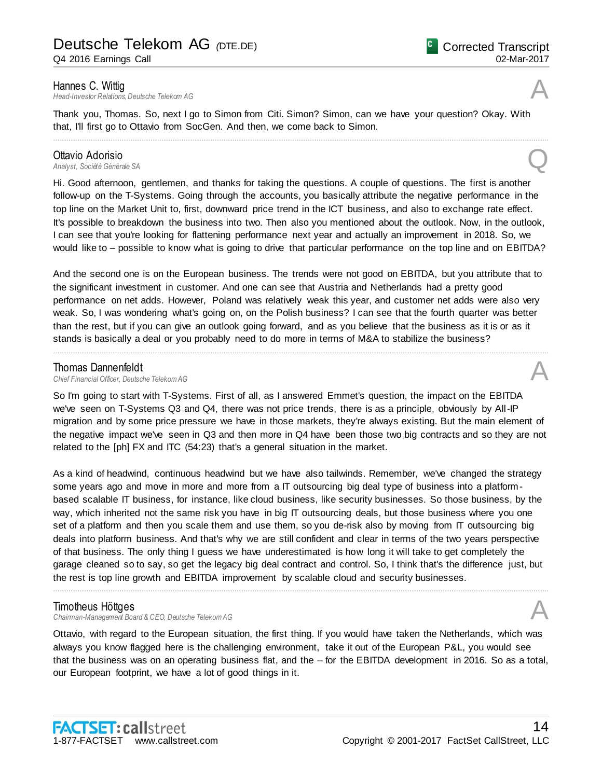**Hannes C. Wittig**<br>Head-Investor Relations, Deutsche Telekom AG *Head-Investor Relations, Deutsche Telekom AG* A

Thank you, Thomas. So, next I go to Simon from Citi. Simon? Simon, can we have your question? Okay. With that, I'll first go to Ottavio from SocGen. And then, we come back to Simon.

................................................................................................................................................................................................................................

# **Ottavio Adorisio**<br>Analyst, Société Générale SA *Analyst, Société Générale SA* Q

Hi. Good afternoon, gentlemen, and thanks for taking the questions. A couple of questions. The first is another follow-up on the T-Systems. Going through the accounts, you basically attribute the negative performance in the top line on the Market Unit to, first, downward price trend in the ICT business, and also to exchange rate effect. It's possible to breakdown the business into two. Then also you mentioned about the outlook. Now, in the outlook, I can see that you're looking for flattening performance next year and actually an improvement in 2018. So, we would like to – possible to know what is going to drive that particular performance on the top line and on EBITDA?

And the second one is on the European business. The trends were not good on EBITDA, but you attribute that to the significant investment in customer. And one can see that Austria and Netherlands had a pretty good performance on net adds. However, Poland was relatively weak this year, and customer net adds were also very weak. So, I was wondering what's going on, on the Polish business? I can see that the fourth quarter was better than the rest, but if you can give an outlook going forward, and as you believe that the business as it is or as it stands is basically a deal or you probably need to do more in terms of M&A to stabilize the business?

................................................................................................................................................................................................................................

**Thomas Dannenfeldt**<br>Chief Financial Officer, Deutsche Telekom AG *Chief Financial Officer, Deutsche Telekom AG* A

So I'm going to start with T-Systems. First of all, as I answered Emmet's question, the impact on the EBITDA we've seen on T-Systems Q3 and Q4, there was not price trends, there is as a principle, obviously by All-IP migration and by some price pressure we have in those markets, they're always existing. But the main element of the negative impact we've seen in Q3 and then more in Q4 have been those two big contracts and so they are not related to the [ph] FX and ITC (54:23) that's a general situation in the market.

As a kind of headwind, continuous headwind but we have also tailwinds. Remember, we've changed the strategy some years ago and move in more and more from a IT outsourcing big deal type of business into a platformbased scalable IT business, for instance, like cloud business, like security businesses. So those business, by the way, which inherited not the same risk you have in big IT outsourcing deals, but those business where you one set of a platform and then you scale them and use them, so you de-risk also by moving from IT outsourcing big deals into platform business. And that's why we are still confident and clear in terms of the two years perspective of that business. The only thing I guess we have underestimated is how long it will take to get completely the garage cleaned so to say, so get the legacy big deal contract and control. So, I think that's the difference just, but the rest is top line growth and EBITDA improvement by scalable cloud and security businesses.

# Timotheus Höttges

**Chairman-Management Board & CEO, Deutsche Telekom AG** 

Ottavio, with regard to the European situation, the first thing. If you would have taken the Netherlands, which was always you know flagged here is the challenging environment, take it out of the European P&L, you would see that the business was on an operating business flat, and the – for the EBITDA development in 2016. So as a total, our European footprint, we have a lot of good things in it.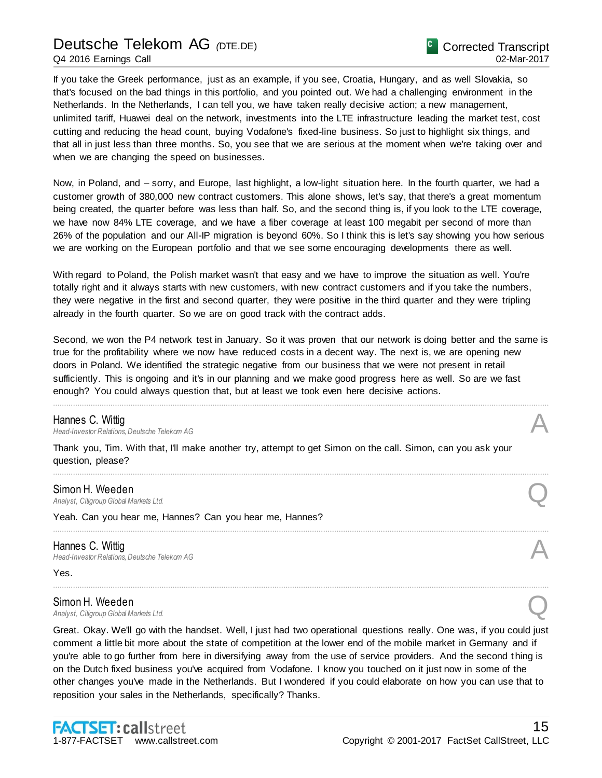If you take the Greek performance, just as an example, if you see, Croatia, Hungary, and as well Slovakia, so that's focused on the bad things in this portfolio, and you pointed out. We had a challenging environment in the Netherlands. In the Netherlands, I can tell you, we have taken really decisive action; a new management, unlimited tariff, Huawei deal on the network, investments into the LTE infrastructure leading the market test, cost cutting and reducing the head count, buying Vodafone's fixed-line business. So just to highlight six things, and that all in just less than three months. So, you see that we are serious at the moment when we're taking over and when we are changing the speed on businesses.

Now, in Poland, and – sorry, and Europe, last highlight, a low-light situation here. In the fourth quarter, we had a customer growth of 380,000 new contract customers. This alone shows, let's say, that there's a great momentum being created, the quarter before was less than half. So, and the second thing is, if you look to the LTE coverage, we have now 84% LTE coverage, and we have a fiber coverage at least 100 megabit per second of more than 26% of the population and our All-IP migration is beyond 60%. So I think this is let's say showing you how serious we are working on the European portfolio and that we see some encouraging developments there as well.

With regard to Poland, the Polish market wasn't that easy and we have to improve the situation as well. You're totally right and it always starts with new customers, with new contract customers and if you take the numbers, they were negative in the first and second quarter, they were positive in the third quarter and they were tripling already in the fourth quarter. So we are on good track with the contract adds.

Second, we won the P4 network test in January. So it was proven that our network is doing better and the same is true for the profitability where we now have reduced costs in a decent way. The next is, we are opening new doors in Poland. We identified the strategic negative from our business that we were not present in retail sufficiently. This is ongoing and it's in our planning and we make good progress here as well. So are we fast enough? You could always question that, but at least we took even here decisive actions.

................................................................................................................................................................................................................................

................................................................................................................................................................................................................................

................................................................................................................................................................................................................................

................................................................................................................................................................................................................................

### Hannes C. Wittig

**Head-Investor Relations, Deutsche Telekom AG** 

Thank you, Tim. With that, I'll make another try, attempt to get Simon on the call. Simon, can you ask your question, please?

### Simon H. Weeden

*Analyst, Citigroup Global Markets Ltd.* Q

Yeah. Can you hear me, Hannes? Can you hear me, Hannes?

Hannes C. Wittig *Head-Investor Relations, Deutsche Telekom AG* A

Yes.

### Simon H. Weeden

*Analyst, Citigroup Global Markets Ltd.* Q

Great. Okay. We'll go with the handset. Well, I just had two operational questions really. One was, if you could just comment a little bit more about the state of competition at the lower end of the mobile market in Germany and if you're able to go further from here in diversifying away from the use of service providers. And the second thing is on the Dutch fixed business you've acquired from Vodafone. I know you touched on it just now in some of the other changes you've made in the Netherlands. But I wondered if you could elaborate on how you can use that to reposition your sales in the Netherlands, specifically? Thanks.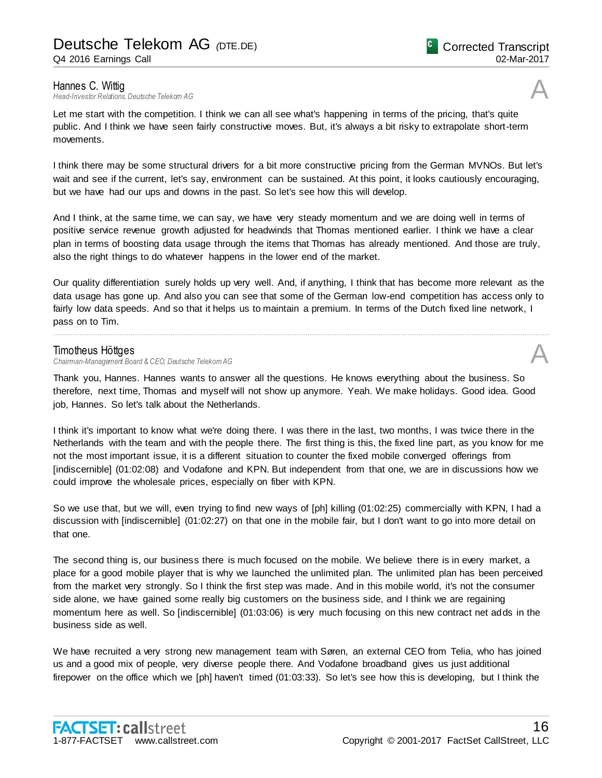**Hannes C. Wittig**<br>Head-Investor Relations, Deutsche Telekom AG *Head-Investor Relations, Deutsche Telekom AG* A

Let me start with the competition. I think we can all see what's happening in terms of the pricing, that's quite public. And I think we have seen fairly constructive moves. But, it's always a bit risky to extrapolate short-term movements.

I think there may be some structural drivers for a bit more constructive pricing from the German MVNOs. But let's wait and see if the current, let's say, environment can be sustained. At this point, it looks cautiously encouraging, but we have had our ups and downs in the past. So let's see how this will develop.

And I think, at the same time, we can say, we have very steady momentum and we are doing well in terms of positive service revenue growth adjusted for headwinds that Thomas mentioned earlier. I think we have a clear plan in terms of boosting data usage through the items that Thomas has already mentioned. And those are truly, also the right things to do whatever happens in the lower end of the market.

Our quality differentiation surely holds up very well. And, if anything, I think that has become more relevant as the data usage has gone up. And also you can see that some of the German low-end competition has access only to fairly low data speeds. And so that it helps us to maintain a premium. In terms of the Dutch fixed line network, I pass on to Tim.

................................................................................................................................................................................................................................

# Timotheus Höttges

**Chairman-Management Board & CEO, Deutsche Telekom AG** 

Thank you, Hannes. Hannes wants to answer all the questions. He knows everything about the business. So therefore, next time, Thomas and myself will not show up anymore. Yeah. We make holidays. Good idea. Good job, Hannes. So let's talk about the Netherlands.

I think it's important to know what we're doing there. I was there in the last, two months, I was twice there in the Netherlands with the team and with the people there. The first thing is this, the fixed line part, as you know for me not the most important issue, it is a different situation to counter the fixed mobile converged offerings from [indiscernible] (01:02:08) and Vodafone and KPN. But independent from that one, we are in discussions how we could improve the wholesale prices, especially on fiber with KPN.

So we use that, but we will, even trying to find new ways of [ph] killing (01:02:25) commercially with KPN, I had a discussion with [indiscernible] (01:02:27) on that one in the mobile fair, but I don't want to go into more detail on that one.

The second thing is, our business there is much focused on the mobile. We believe there is in every market, a place for a good mobile player that is why we launched the unlimited plan. The unlimited plan has been perceived from the market very strongly. So I think the first step was made. And in this mobile world, it's not the consumer side alone, we have gained some really big customers on the business side, and I think we are regaining momentum here as well. So [indiscernible] (01:03:06) is very much focusing on this new contract net adds in the business side as well.

We have recruited a very strong new management team with Søren, an external CEO from Telia, who has joined us and a good mix of people, very diverse people there. And Vodafone broadband gives us just additional firepower on the office which we [ph] haven't timed (01:03:33). So let's see how this is developing, but I think the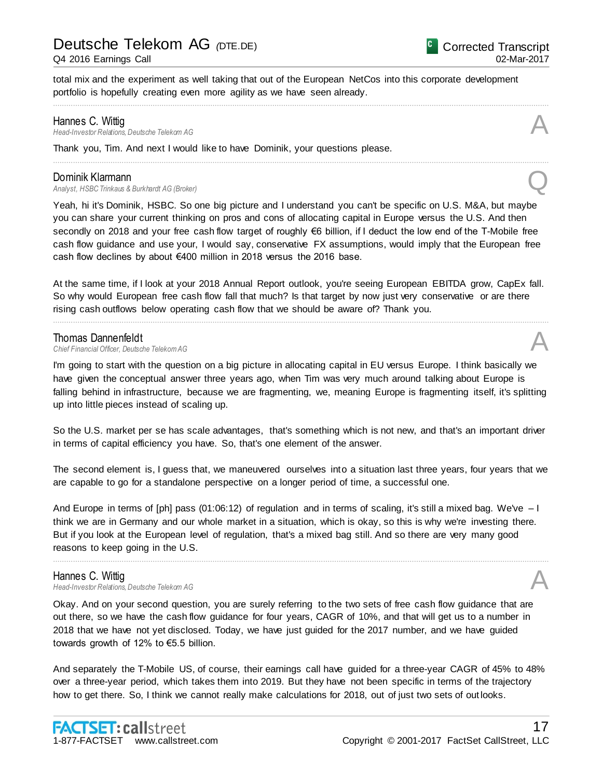## Q4 2016 Earnings Call

Corrected Transcript 02-Mar-2017

total mix and the experiment as well taking that out of the European NetCos into this corporate development portfolio is hopefully creating even more agility as we have seen already.

................................................................................................................................................................................................................................

................................................................................................................................................................................................................................

**Hannes C. Wittig**<br>Head-Investor Relations, Deutsche Telekom AG *Head-Investor Relations, Deutsche Telekom AG* A

Thank you, Tim. And next I would like to have Dominik, your questions please.

## Dominik Klarmann

*Analyst, HSBC Trinkaus & Burkhardt AG (Broker)* Q

Yeah, hi it's Dominik, HSBC. So one big picture and I understand you can't be specific on U.S. M&A, but maybe you can share your current thinking on pros and cons of allocating capital in Europe versus the U.S. And then secondly on 2018 and your free cash flow target of roughly €6 billion, if I deduct the low end of the T-Mobile free cash flow guidance and use your, I would say, conservative FX assumptions, would imply that the European free cash flow declines by about €400 million in 2018 versus the 2016 base.

At the same time, if I look at your 2018 Annual Report outlook, you're seeing European EBITDA grow, CapEx fall. So why would European free cash flow fall that much? Is that target by now just very conservative or are there rising cash outflows below operating cash flow that we should be aware of? Thank you.

................................................................................................................................................................................................................................

**Thomas Dannenfeldt**<br>Chief Financial Officer, Deutsche Telekom AG *Chief Financial Officer, Deutsche Telekom AG* A

I'm going to start with the question on a big picture in allocating capital in EU versus Europe. I think basically we have given the conceptual answer three years ago, when Tim was very much around talking about Europe is falling behind in infrastructure, because we are fragmenting, we, meaning Europe is fragmenting itself, it's splitting up into little pieces instead of scaling up.

So the U.S. market per se has scale advantages, that's something which is not new, and that's an important driver in terms of capital efficiency you have. So, that's one element of the answer.

The second element is, I guess that, we maneuvered ourselves into a situation last three years, four years that we are capable to go for a standalone perspective on a longer period of time, a successful one.

And Europe in terms of [ph] pass (01:06:12) of regulation and in terms of scaling, it's still a mixed bag. We've – I think we are in Germany and our whole market in a situation, which is okay, so this is why we're investing there. But if you look at the European level of regulation, that's a mixed bag still. And so there are very many good reasons to keep going in the U.S.

................................................................................................................................................................................................................................

### Hannes C. Wittig

*Head-Investor Relations, Deutsche Telekom AG* A

Okay. And on your second question, you are surely referring to the two sets of free cash flow guidance that are out there, so we have the cash flow guidance for four years, CAGR of 10%, and that will get us to a number in 2018 that we have not yet disclosed. Today, we have just guided for the 2017 number, and we have guided towards growth of 12% to €5.5 billion.

And separately the T-Mobile US, of course, their earnings call have guided for a three-year CAGR of 45% to 48% over a three-year period, which takes them into 2019. But they have not been specific in terms of the trajectory how to get there. So, I think we cannot really make calculations for 2018, out of just two sets of out looks.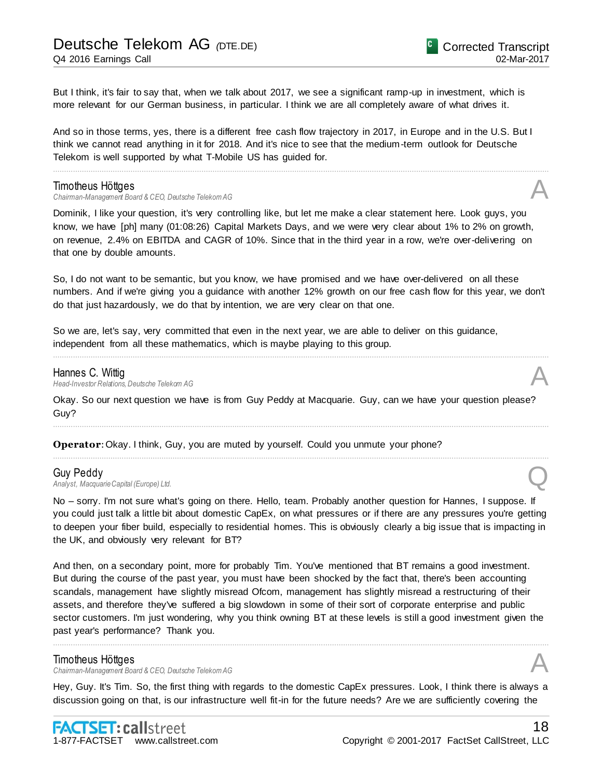But I think, it's fair to say that, when we talk about 2017, we see a significant ramp-up in investment, which is more relevant for our German business, in particular. I think we are all completely aware of what drives it.

And so in those terms, yes, there is a different free cash flow trajectory in 2017, in Europe and in the U.S. But I think we cannot read anything in it for 2018. And it's nice to see that the medium-term outlook for Deutsche Telekom is well supported by what T-Mobile US has guided for.

................................................................................................................................................................................................................................

## Timotheus Höttges

**Chairman-Management Board & CEO, Deutsche Telekom AG** 

Dominik, I like your question, it's very controlling like, but let me make a clear statement here. Look guys, you know, we have [ph] many (01:08:26) Capital Markets Days, and we were very clear about 1% to 2% on growth, on revenue, 2.4% on EBITDA and CAGR of 10%. Since that in the third year in a row, we're over-delivering on that one by double amounts.

So, I do not want to be semantic, but you know, we have promised and we have over-delivered on all these numbers. And if we're giving you a guidance with another 12% growth on our free cash flow for this year, we don't do that just hazardously, we do that by intention, we are very clear on that one.

................................................................................................................................................................................................................................

So we are, let's say, very committed that even in the next year, we are able to deliver on this guidance, independent from all these mathematics, which is maybe playing to this group.

**Hannes C. Wittig**<br>Head-Investor Relations, Deutsche Telekom AG *Head-Investor Relations, Deutsche Telekom AG* A

Okay. So our next question we have is from Guy Peddy at Macquarie. Guy, can we have your question please? Guy?

................................................................................................................................................................................................................................

................................................................................................................................................................................................................................

**Operator**: Okay. I think, Guy, you are muted by yourself. Could you unmute your phone?

# Guy Peddy

*Analyst, Macquarie Capital (Europe) Ltd.* Q

No – sorry. I'm not sure what's going on there. Hello, team. Probably another question for Hannes, I suppose. If you could just talk a little bit about domestic CapEx, on what pressures or if there are any pressures you're getting to deepen your fiber build, especially to residential homes. This is obviously clearly a big issue that is impacting in the UK, and obviously very relevant for BT?

And then, on a secondary point, more for probably Tim. You've mentioned that BT remains a good investment. But during the course of the past year, you must have been shocked by the fact that, there's been accounting scandals, management have slightly misread Ofcom, management has slightly misread a restructuring of their assets, and therefore they've suffered a big slowdown in some of their sort of corporate enterprise and public sector customers. I'm just wondering, why you think owning BT at these levels is still a good investment given the past year's performance? Thank you.

................................................................................................................................................................................................................................

### Timotheus Höttges

**Chairman-Management Board & CEO, Deutsche Telekom AG** 

Hey, Guy. It's Tim. So, the first thing with regards to the domestic CapEx pressures. Look, I think there is always a discussion going on that, is our infrastructure well fit-in for the future needs? Are we are sufficiently covering the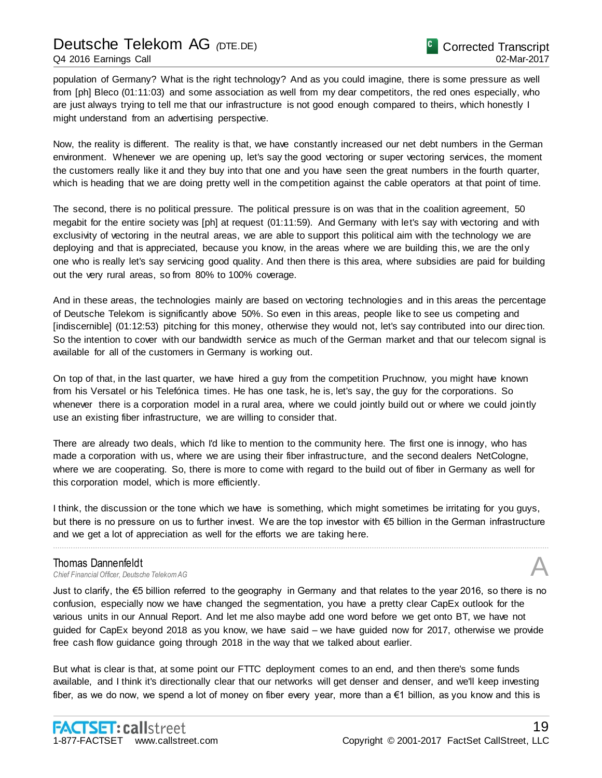# Deutsche Telekom AG *(*DTE.DE) Q4 2016 Earnings Call

population of Germany? What is the right technology? And as you could imagine, there is some pressure as well from [ph] Bleco (01:11:03) and some association as well from my dear competitors, the red ones especially, who are just always trying to tell me that our infrastructure is not good enough compared to theirs, which honestly I might understand from an advertising perspective.

Now, the reality is different. The reality is that, we have constantly increased our net debt numbers in the German environment. Whenever we are opening up, let's say the good vectoring or super vectoring services, the moment the customers really like it and they buy into that one and you have seen the great numbers in the fourth quarter, which is heading that we are doing pretty well in the competition against the cable operators at that point of time.

The second, there is no political pressure. The political pressure is on was that in the coalition agreement, 50 megabit for the entire society was [ph] at request (01:11:59). And Germany with let's say with vectoring and with exclusivity of vectoring in the neutral areas, we are able to support this political aim with the technology we are deploying and that is appreciated, because you know, in the areas where we are building this, we are the only one who is really let's say servicing good quality. And then there is this area, where subsidies are paid for building out the very rural areas, so from 80% to 100% coverage.

And in these areas, the technologies mainly are based on vectoring technologies and in this areas the percentage of Deutsche Telekom is significantly above 50%. So even in this areas, people like to see us competing and [indiscernible] (01:12:53) pitching for this money, otherwise they would not, let's say contributed into our direc tion. So the intention to cover with our bandwidth service as much of the German market and that our telecom signal is available for all of the customers in Germany is working out.

On top of that, in the last quarter, we have hired a guy from the competition Pruchnow, you might have known from his Versatel or his Telefónica times. He has one task, he is, let's say, the guy for the corporations. So whenever there is a corporation model in a rural area, where we could jointly build out or where we could jointly use an existing fiber infrastructure, we are willing to consider that.

There are already two deals, which I'd like to mention to the community here. The first one is innogy, who has made a corporation with us, where we are using their fiber infrastructure, and the second dealers NetCologne, where we are cooperating. So, there is more to come with regard to the build out of fiber in Germany as well for this corporation model, which is more efficiently.

I think, the discussion or the tone which we have is something, which might sometimes be irritating for you guys, but there is no pressure on us to further invest. We are the top investor with €5 billion in the German infrastructure and we get a lot of appreciation as well for the efforts we are taking here.

................................................................................................................................................................................................................................

# Thomas Dannenfeldt

*Chief Financial Officer, Deutsche Telekom AG* A

Just to clarify, the €5 billion referred to the geography in Germany and that relates to the year 2016, so there is no confusion, especially now we have changed the segmentation, you have a pretty clear CapEx outlook for the various units in our Annual Report. And let me also maybe add one word before we get onto BT, we have not guided for CapEx beyond 2018 as you know, we have said – we have guided now for 2017, otherwise we provide free cash flow guidance going through 2018 in the way that we talked about earlier.

But what is clear is that, at some point our FTTC deployment comes to an end, and then there's some funds available, and I think it's directionally clear that our networks will get denser and denser, and we'll keep investing fiber, as we do now, we spend a lot of money on fiber every year, more than a €1 billion, as you know and this is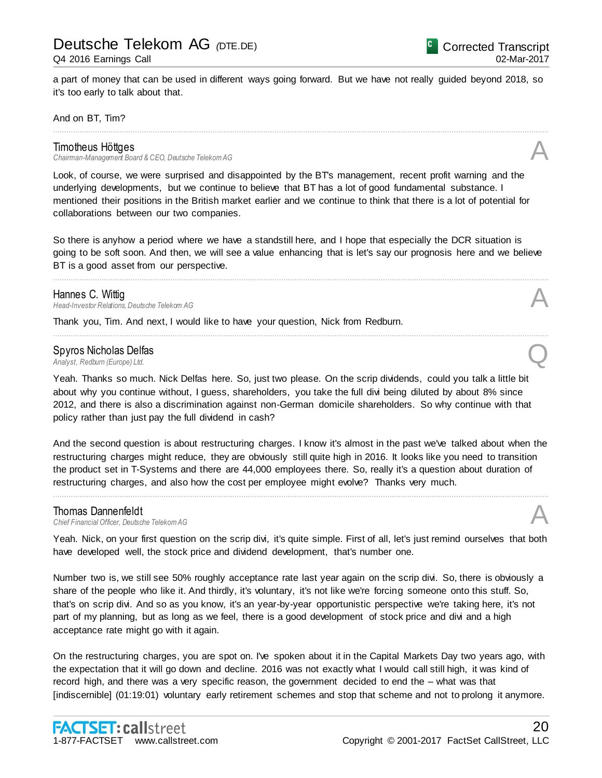## Q4 2016 Earnings Call

a part of money that can be used in different ways going forward. But we have not really guided beyond 2018, so it's too early to talk about that.

................................................................................................................................................................................................................................

### And on BT, Tim?

### Timotheus Höttges

*Chairman-Management Board & CEO, Deutsche Telekom AG* A

Look, of course, we were surprised and disappointed by the BTs management, recent profit warning and the underlying developments, but we continue to believe that BT has a lot of good fundamental substance. I mentioned their positions in the British market earlier and we continue to think that there is a lot of potential for collaborations between our two companies.

So there is anyhow a period where we have a standstill here, and I hope that especially the DCR situation is going to be soft soon. And then, we will see a value enhancing that is let's say our prognosis here and we believe BT is a good asset from our perspective.

................................................................................................................................................................................................................................

................................................................................................................................................................................................................................

**Hannes C. Wittig**<br>Head-Investor Relations, Deutsche Telekom AG *Head-Investor Relations, Deutsche Telekom AG* A

Thank you, Tim. And next, I would like to have your question, Nick from Redburn.

# Spyros Nicholas Delfas *Analyst, Redburn (Europe) Ltd.* Q

Yeah. Thanks so much. Nick Delfas here. So, just two please. On the scrip dividends, could you talk a little bit about why you continue without, I guess, shareholders, you take the full divi being diluted by about 8% since 2012, and there is also a discrimination against non-German domicile shareholders. So why continue with that policy rather than just pay the full dividend in cash?

And the second question is about restructuring charges. I know it's almost in the past we've talked about when the restructuring charges might reduce, they are obviously still quite high in 2016. It looks like you need to transition the product set in T-Systems and there are 44,000 employees there. So, really it's a question about duration of restructuring charges, and also how the cost per employee might evolve? Thanks very much.

................................................................................................................................................................................................................................

**Thomas Dannenfeldt**<br>Chief Financial Officer, Deutsche Telekom AG *Chief Financial Officer, Deutsche Telekom AG* A

Yeah. Nick, on your first question on the scrip divi, it's quite simple. First of all, let's just remind ourselves that both have developed well, the stock price and dividend development, that's number one.

Number two is, we still see 50% roughly acceptance rate last year again on the scrip divi. So, there is obviously a share of the people who like it. And thirdly, it's voluntary, it's not like we're forcing someone onto this stuff. So, that's on scrip divi. And so as you know, it's an year-by-year opportunistic perspective we're taking here, it's not part of my planning, but as long as we feel, there is a good development of stock price and divi and a high acceptance rate might go with it again.

On the restructuring charges, you are spot on. I've spoken about it in the Capital Markets Day two years ago, with the expectation that it will go down and decline. 2016 was not exactly what I would call still high, it was kind of record high, and there was a very specific reason, the government decided to end the – what was that [indiscernible] (01:19:01) voluntary early retirement schemes and stop that scheme and not to prolong it anymore.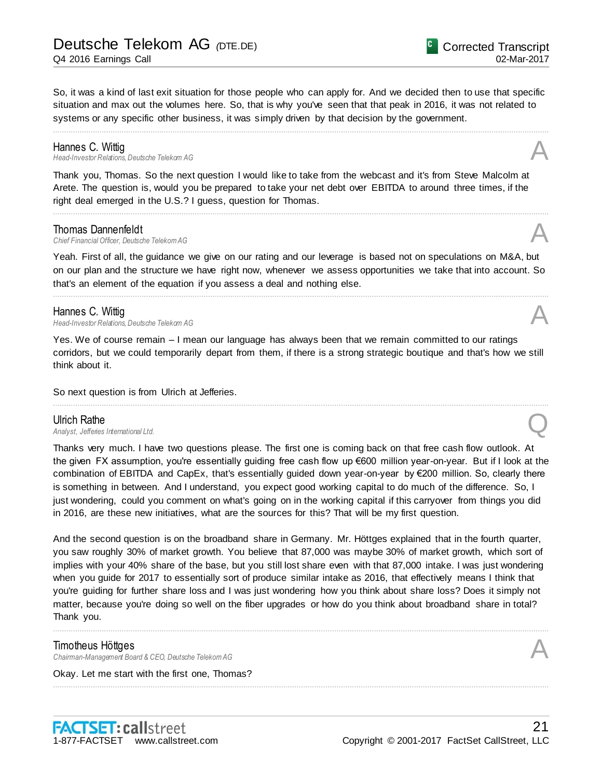So, it was a kind of last exit situation for those people who can apply for. And we decided then to use that specific situation and max out the volumes here. So, that is why you've seen that that peak in 2016, it was not related to systems or any specific other business, it was simply driven by that decision by the government.

................................................................................................................................................................................................................................

**Hannes C. Wittig**<br>Head-Investor Relations, Deutsche Telekom AG *Head-Investor Relations, Deutsche Telekom AG* A

Thank you, Thomas. So the next question I would like to take from the webcast and it's from Steve Malcolm at Arete. The question is, would you be prepared to take your net debt over EBITDA to around three times, if the right deal emerged in the U.S.? I guess, question for Thomas.

**Thomas Dannenfeldt**<br>Chief Financial Officer, Deutsche Telekom AG *Chief Financial Officer, Deutsche Telekom AG* A

Yeah. First of all, the guidance we give on our rating and our leverage is based not on speculations on M&A, but on our plan and the structure we have right now, whenever we assess opportunities we take that into account. So that's an element of the equation if you assess a deal and nothing else.

................................................................................................................................................................................................................................

................................................................................................................................................................................................................................

**Hannes C. Wittig**<br>Head-Investor Relations. Deutsche Telekom AG *Head-Investor Relations, Deutsche Telekom AG* A

Yes. We of course remain – I mean our language has always been that we remain committed to our ratings corridors, but we could temporarily depart from them, if there is a strong strategic boutique and that's how we still think about it.

................................................................................................................................................................................................................................

So next question is from Ulrich at Jefferies.

### Ulrich Rathe

*Analyst, Jefferies International Ltd.* Q

Thanks very much. I have two questions please. The first one is coming back on that free cash flow outlook. At the given FX assumption, you're essentially guiding free cash flow up €600 million year-on-year. But if I look at the combination of EBITDA and CapEx, that's essentially guided down year-on-year by €200 million. So, clearly there is something in between. And I understand, you expect good working capital to do much of the difference. So, I just wondering, could you comment on what's going on in the working capital if this carryover from things you did in 2016, are these new initiatives, what are the sources for this? That will be my first question.

And the second question is on the broadband share in Germany. Mr. Höttges explained that in the fourth quarter, you saw roughly 30% of market growth. You believe that 87,000 was maybe 30% of market growth, which sort of implies with your 40% share of the base, but you still lost share even with that 87,000 intake. I was just wondering when you guide for 2017 to essentially sort of produce similar intake as 2016, that effectively means I think that you're guiding for further share loss and I was just wondering how you think about share loss? Does it simply not matter, because you're doing so well on the fiber upgrades or how do you think about broadband share in total? Thank you.

................................................................................................................................................................................................................................

................................................................................................................................................................................................................................

### Timotheus Höttges

**Chairman-Management Board & CEO, Deutsche Telekom AG** 

Okay. Let me start with the first one, Thomas?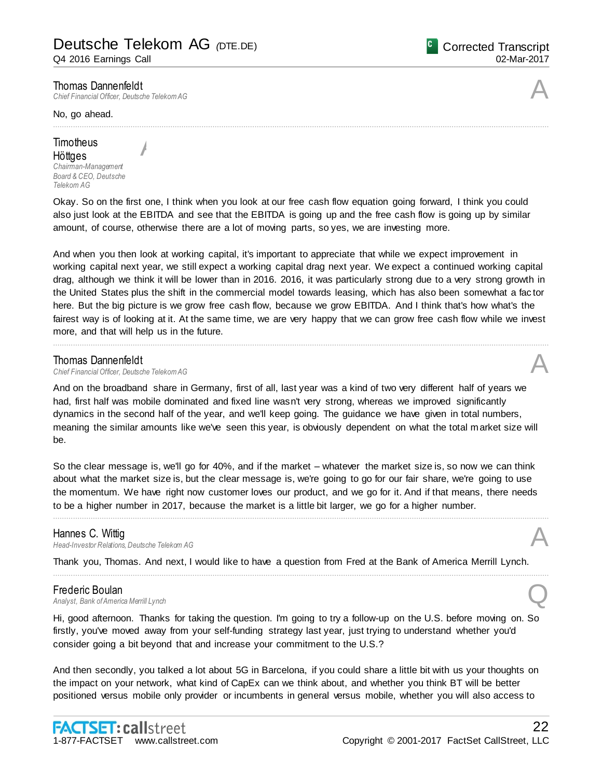$\overline{1}$ 

# **Thomas Dannenfeldt**<br>Chief Financial Officer. Deutsche Telekom AG *Chief Financial Officer, Deutsche Telekom AG* A

No, go ahead.

# **Timotheus** Höttges

*Chairman-Management Board & CEO, Deutsche Telekom AG*

Okay. So on the first one, I think when you look at our free cash flow equation going forward, I think you could also just look at the EBITDA and see that the EBITDA is going up and the free cash flow is going up by similar amount, of course, otherwise there are a lot of moving parts, so yes, we are investing more.

................................................................................................................................................................................................................................

And when you then look at working capital, it's important to appreciate that while we expect improvement in working capital next year, we still expect a working capital drag next year. We expect a continued working capital drag, although we think it will be lower than in 2016. 2016, it was particularly strong due to a very strong growth in the United States plus the shift in the commercial model towards leasing, which has also been somewhat a fac tor here. But the big picture is we grow free cash flow, because we grow EBITDA. And I think that's how what's the fairest way is of looking at it. At the same time, we are very happy that we can grow free cash flow while we invest more, and that will help us in the future.

................................................................................................................................................................................................................................

**Thomas Dannenfeldt**<br>Chief Financial Officer, Deutsche Telekom AG *Chief Financial Officer, Deutsche Telekom AG* A

And on the broadband share in Germany, first of all, last year was a kind of two very different half of years we had, first half was mobile dominated and fixed line wasn't very strong, whereas we improved significantly dynamics in the second half of the year, and we'll keep going. The guidance we have given in total numbers, meaning the similar amounts like we've seen this year, is obviously dependent on what the total market size will be.

So the clear message is, we'll go for 40%, and if the market – whatever the market size is, so now we can think about what the market size is, but the clear message is, we're going to go for our fair share, we're going to use the momentum. We have right now customer loves our product, and we go for it. And if that means, there needs to be a higher number in 2017, because the market is a little bit larger, we go for a higher number.

................................................................................................................................................................................................................................

### Hannes C. Wittig

*Head-Investor Relations, Deutsche Telekom AG* A

Thank you, Thomas. And next, I would like to have a question from Fred at the Bank of America Merrill Lynch.

................................................................................................................................................................................................................................

# Frederic Boulan

*Analyst, Bank of America Merrill Lynch* Q

Hi, good afternoon. Thanks for taking the question. I'm going to try a follow-up on the U.S. before moving on. So firstly, you've moved away from your self-funding strategy last year, just trying to understand whether you'd consider going a bit beyond that and increase your commitment to the U.S.?

And then secondly, you talked a lot about 5G in Barcelona, if you could share a little bit with us your thoughts on the impact on your network, what kind of CapEx can we think about, and whether you think BT will be better positioned versus mobile only provider or incumbents in general versus mobile, whether you will also access to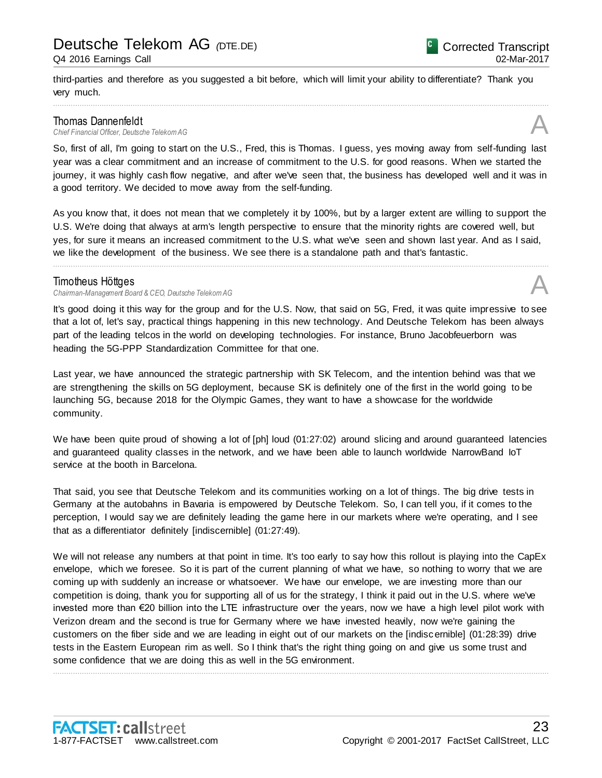## Q4 2016 Earnings Call

third-parties and therefore as you suggested a bit before, which will limit your ability to differentiate? Thank you very much.

................................................................................................................................................................................................................................

**Thomas Dannenfeldt**<br>Chief Financial Officer. Deutsche Telekom AG *Chief Financial Officer, Deutsche Telekom AG* A

So, first of all, I'm going to start on the U.S., Fred, this is Thomas. I guess, yes moving away from self-funding last year was a clear commitment and an increase of commitment to the U.S. for good reasons. When we started the journey, it was highly cash flow negative, and after we've seen that, the business has developed well and it was in a good territory. We decided to move away from the self-funding.

As you know that, it does not mean that we completely it by 100%, but by a larger extent are willing to support the U.S. We're doing that always at arm's length perspective to ensure that the minority rights are covered well, but yes, for sure it means an increased commitment to the U.S. what we've seen and shown last year. And as I said, we like the development of the business. We see there is a standalone path and that's fantastic.

................................................................................................................................................................................................................................

# Timotheus Höttges

*Chairman-Management Board & CEO, Deutsche Telekom AG* A

It's good doing it this way for the group and for the U.S. Now, that said on 5G, Fred, it was quite impressive to see that a lot of, let's say, practical things happening in this new technology. And Deutsche Telekom has been always part of the leading telcos in the world on developing technologies. For instance, Bruno Jacobfeuerborn was heading the 5G-PPP Standardization Committee for that one.

Last year, we have announced the strategic partnership with SK Telecom, and the intention behind was that we are strengthening the skills on 5G deployment, because SK is definitely one of the first in the world going to be launching 5G, because 2018 for the Olympic Games, they want to have a showcase for the worldwide community.

We have been quite proud of showing a lot of [ph] loud (01:27:02) around slicing and around guaranteed latencies and guaranteed quality classes in the network, and we have been able to launch worldwide NarrowBand IoT service at the booth in Barcelona.

That said, you see that Deutsche Telekom and its communities working on a lot of things. The big drive tests in Germany at the autobahns in Bavaria is empowered by Deutsche Telekom. So, I can tell you, if it comes to the perception, I would say we are definitely leading the game here in our markets where we're operating, and I see that as a differentiator definitely [indiscernible] (01:27:49).

We will not release any numbers at that point in time. It's too early to say how this rollout is playing into the CapEx envelope, which we foresee. So it is part of the current planning of what we have, so nothing to worry that we are coming up with suddenly an increase or whatsoever. We have our envelope, we are investing more than our competition is doing, thank you for supporting all of us for the strategy, I think it paid out in the U.S. where we've invested more than €20 billion into the LTE infrastructure over the years, now we have a high level pilot work with Verizon dream and the second is true for Germany where we have invested heavily, now we're gaining the customers on the fiber side and we are leading in eight out of our markets on the [indiscernible] (01:28:39) drive tests in the Eastern European rim as well. So I think that's the right thing going on and give us some trust and some confidence that we are doing this as well in the 5G environment.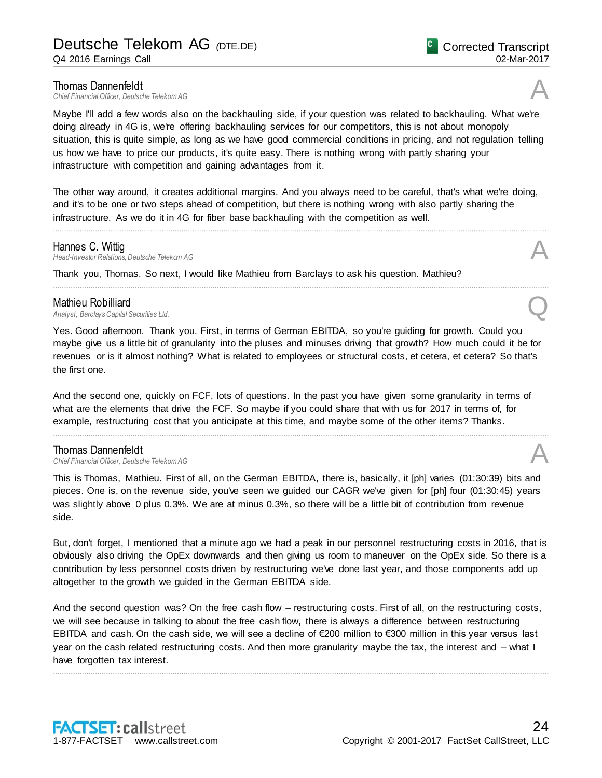**Thomas Dannenfeldt**<br>Chief Financial Officer. Deutsche Telekom AG *Chief Financial Officer, Deutsche Telekom AG* A

Maybe I'll add a few words also on the backhauling side, if your question was related to backhauling. What we're doing already in 4G is, we're offering backhauling services for our competitors, this is not about monopoly situation, this is quite simple, as long as we have good commercial conditions in pricing, and not regulation telling us how we have to price our products, it's quite easy. There is nothing wrong with partly sharing your infrastructure with competition and gaining advantages from it.

The other way around, it creates additional margins. And you always need to be careful, that's what we're doing, and it's to be one or two steps ahead of competition, but there is nothing wrong with also partly sharing the infrastructure. As we do it in 4G for fiber base backhauling with the competition as well.

................................................................................................................................................................................................................................

................................................................................................................................................................................................................................

**Hannes C. Wittig**<br>Head-Investor Relations, Deutsche Telekom AG *Head-Investor Relations, Deutsche Telekom AG* A

Thank you, Thomas. So next, I would like Mathieu from Barclays to ask his question. Mathieu?

## Mathieu Robilliard

*Analyst, Barclays Capital Securities Ltd.* Q

Yes. Good afternoon. Thank you. First, in terms of German EBITDA, so you're guiding for growth. Could you maybe give us a little bit of granularity into the pluses and minuses driving that growth? How much could it be for revenues or is it almost nothing? What is related to employees or structural costs, et cetera, et cetera? So that's the first one.

And the second one, quickly on FCF, lots of questions. In the past you have given some granularity in terms of what are the elements that drive the FCF. So maybe if you could share that with us for 2017 in terms of, for example, restructuring cost that you anticipate at this time, and maybe some of the other items? Thanks.

................................................................................................................................................................................................................................

### Thomas Dannenfeldt

*Chief Financial Officer, Deutsche Telekom AG* A

This is Thomas, Mathieu. First of all, on the German EBITDA, there is, basically, it [ph] varies (01:30:39) bits and pieces. One is, on the revenue side, you've seen we guided our CAGR we've given for [ph] four (01:30:45) years was slightly above 0 plus 0.3%. We are at minus 0.3%, so there will be a little bit of contribution from revenue side.

But, don't forget, I mentioned that a minute ago we had a peak in our personnel restructuring costs in 2016, that is obviously also driving the OpEx downwards and then giving us room to maneuver on the OpEx side. So there is a contribution by less personnel costs driven by restructuring we've done last year, and those components add up altogether to the growth we guided in the German EBITDA side.

And the second question was? On the free cash flow – restructuring costs. First of all, on the restructuring costs, we will see because in talking to about the free cash flow, there is always a difference between restructuring EBITDA and cash. On the cash side, we will see a decline of €200 million to €300 million in this year versus last year on the cash related restructuring costs. And then more granularity maybe the tax, the interest and – what I have forgotten tax interest.

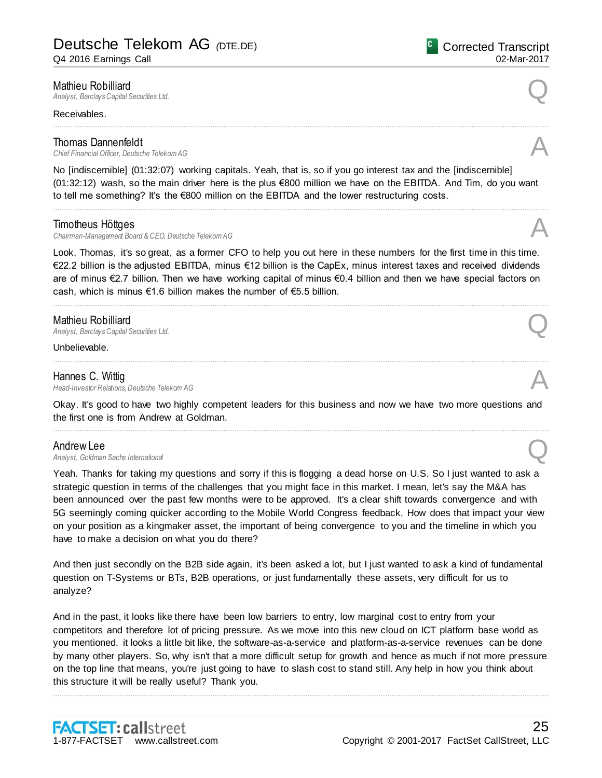**Mathieu Robilliard**<br>Analyst, Barclays Capital Securities Ltd. *Analyst, Barclays Capital Securities Ltd.* Q

### Receivables.

**Thomas Dannenfeldt**<br>Chief Financial Officer. Deutsche Telekom AG *Chief Financial Officer, Deutsche Telekom AG* A

No [indiscernible] (01:32:07) working capitals. Yeah, that is, so if you go interest tax and the [indiscernible] (01:32:12) wash, so the main driver here is the plus €800 million we have on the EBITDA. And Tim, do you want to tell me something? It's the €800 million on the EBITDA and the lower restructuring costs.

................................................................................................................................................................................................................................

................................................................................................................................................................................................................................

### Timotheus Höttges

**Chairman-Management Board & CEO, Deutsche Telekom AG** 

Look, Thomas, it's so great, as a former CFO to help you out here in these numbers for the first time in this time. €22.2 billion is the adjusted EBITDA, minus €12 billion is the CapEx, minus interest taxes and received dividends are of minus €2.7 billion. Then we have working capital of minus €0.4 billion and then we have special factors on cash, which is minus €1.6 billion makes the number of €5.5 billion.

................................................................................................................................................................................................................................

................................................................................................................................................................................................................................

**Mathieu Robilliard**<br>Analyst, Barclays Capital Securities Ltd. *Analyst, Barclays Capital Securities Ltd.* Q

Unbelievable.

**Hannes C. Wittig**<br>Head-Investor Relations, Deutsche Telekom AG *Head-Investor Relations, Deutsche Telekom AG* A

Okay. It's good to have two highly competent leaders for this business and now we have two more questions and the first one is from Andrew at Goldman. ................................................................................................................................................................................................................................

# Andrew Lee

*Analyst, Goldman Sachs International* Q

Yeah. Thanks for taking my questions and sorry if this is flogging a dead horse on U.S. So I just wanted to ask a strategic question in terms of the challenges that you might face in this market. I mean, let's say the M&A has been announced over the past few months were to be approved. It's a clear shift towards convergence and with 5G seemingly coming quicker according to the Mobile World Congress feedback. How does that impact your view on your position as a kingmaker asset, the important of being convergence to you and the timeline in which you have to make a decision on what you do there?

And then just secondly on the B2B side again, it's been asked a lot, but I just wanted to ask a kind of fundamental question on T-Systems or BTs, B2B operations, or just fundamentally these assets, very difficult for us to analyze?

And in the past, it looks like there have been low barriers to entry, low marginal cost to entry from your competitors and therefore lot of pricing pressure. As we move into this new cloud on ICT platform base world as you mentioned, it looks a little bit like, the software-as-a-service and platform-as-a-service revenues can be done by many other players. So, why isn't that a more difficult setup for growth and hence as much if not more pressure on the top line that means, you're just going to have to slash cost to stand still. Any help in how you think about this structure it will be really useful? Thank you.



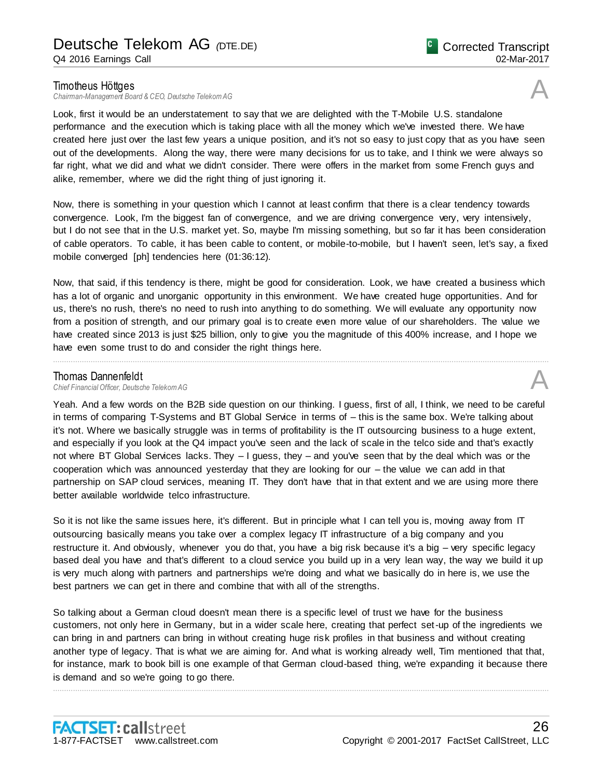## Timotheus Höttges

**Chairman-Management Board & CEO, Deutsche Telekom AG** 

Look, first it would be an understatement to say that we are delighted with the T-Mobile U.S. standalone performance and the execution which is taking place with all the money which we've invested there. We have created here just over the last few years a unique position, and it's not so easy to just copy that as you have seen out of the developments. Along the way, there were many decisions for us to take, and I think we were always so far right, what we did and what we didn't consider. There were offers in the market from some French guys and alike, remember, where we did the right thing of just ignoring it.

Now, there is something in your question which I cannot at least confirm that there is a clear tendency towards convergence. Look, I'm the biggest fan of convergence, and we are driving convergence very, very intensively, but I do not see that in the U.S. market yet. So, maybe I'm missing something, but so far it has been consideration of cable operators. To cable, it has been cable to content, or mobile-to-mobile, but I haven't seen, let's say, a fixed mobile converged [ph] tendencies here (01:36:12).

Now, that said, if this tendency is there, might be good for consideration. Look, we have created a business which has a lot of organic and unorganic opportunity in this environment. We have created huge opportunities. And for us, there's no rush, there's no need to rush into anything to do something. We will evaluate any opportunity now from a position of strength, and our primary goal is to create even more value of our shareholders. The value we have created since 2013 is just \$25 billion, only to give you the magnitude of this 400% increase, and I hope we have even some trust to do and consider the right things here.

................................................................................................................................................................................................................................

**Thomas Dannenfeldt**<br>Chief Financial Officer, Deutsche Telekom AG *Chief Financial Officer, Deutsche Telekom AG* A

Yeah. And a few words on the B2B side question on our thinking. I guess, first of all, I think, we need to be careful in terms of comparing T-Systems and BT Global Service in terms of – this is the same box. We're talking about it's not. Where we basically struggle was in terms of profitability is the IT outsourcing business to a huge extent, and especially if you look at the Q4 impact you've seen and the lack of scale in the telco side and that's exactly not where BT Global Services lacks. They – I guess, they – and you've seen that by the deal which was or the cooperation which was announced yesterday that they are looking for our – the value we can add in that partnership on SAP cloud services, meaning IT. They don't have that in that extent and we are using more there better available worldwide telco infrastructure.

So it is not like the same issues here, it's different. But in principle what I can tell you is, moving away from IT outsourcing basically means you take over a complex legacy IT infrastructure of a big company and you restructure it. And obviously, whenever you do that, you have a big risk because it's a big – very specific legacy based deal you have and that's different to a cloud service you build up in a very lean way, the way we build it up is very much along with partners and partnerships we're doing and what we basically do in here is, we use the best partners we can get in there and combine that with all of the strengths.

So talking about a German cloud doesn't mean there is a specific level of trust we have for the business customers, not only here in Germany, but in a wider scale here, creating that perfect set-up of the ingredients we can bring in and partners can bring in without creating huge risk profiles in that business and without creating another type of legacy. That is what we are aiming for. And what is working already well, Tim mentioned that that, for instance, mark to book bill is one example of that German cloud-based thing, we're expanding it because there is demand and so we're going to go there.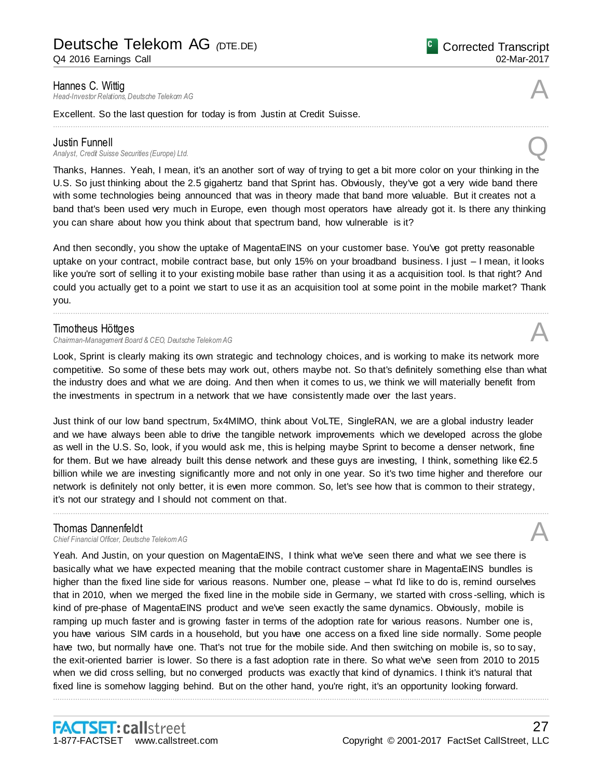Q4 2016 Earnings Call

**Hannes C. Wittig**<br>Head-Investor Relations, Deutsche Telekom AG *Head-Investor Relations, Deutsche Telekom AG* A

Excellent. So the last question for today is from Justin at Credit Suisse.

**Justin Funnell**<br>Analyst, Credit Suisse Securities (Europe) Ltd. *Analyst, Credit Suisse Securities (Europe) Ltd.* Q

Thanks, Hannes. Yeah, I mean, it's an another sort of way of trying to get a bit more color on your thinking in the U.S. So just thinking about the 2.5 gigahertz band that Sprint has. Obviously, they've got a very wide band there with some technologies being announced that was in theory made that band more valuable. But it creates not a band that's been used very much in Europe, even though most operators have already got it. Is there any thinking you can share about how you think about that spectrum band, how vulnerable is it?

And then secondly, you show the uptake of MagentaEINS on your customer base. You've got pretty reasonable uptake on your contract, mobile contract base, but only 15% on your broadband business. I just – I mean, it looks like you're sort of selling it to your existing mobile base rather than using it as a acquisition tool. Is that right? And could you actually get to a point we start to use it as an acquisition tool at some point in the mobile market? Thank you.

................................................................................................................................................................................................................................

## Timotheus Höttges

*Chairman-Management Board & CEO, Deutsche Telekom AG* A

Look, Sprint is clearly making its own strategic and technology choices, and is working to make its network more competitive. So some of these bets may work out, others maybe not. So that's definitely something else than what the industry does and what we are doing. And then when it comes to us, we think we will materially benefit from the investments in spectrum in a network that we have consistently made over the last years.

Just think of our low band spectrum, 5x4MIMO, think about VoLTE, SingleRAN, we are a global industry leader and we have always been able to drive the tangible network improvements which we developed across the globe as well in the U.S. So, look, if you would ask me, this is helping maybe Sprint to become a denser network, fine for them. But we have already built this dense network and these guys are investing, I think, something like €2.5 billion while we are investing significantly more and not only in one year. So it's two time higher and therefore our network is definitely not only better, it is even more common. So, let's see how that is common to their strategy, it's not our strategy and I should not comment on that.

................................................................................................................................................................................................................................

**Thomas Dannenfeldt**<br>Chief Financial Officer, Deutsche Telekom AG *Chief Financial Officer, Deutsche Telekom AG* A

Yeah. And Justin, on your question on MagentaEINS, I think what we've seen there and what we see there is basically what we have expected meaning that the mobile contract customer share in MagentaEINS bundles is higher than the fixed line side for various reasons. Number one, please – what I'd like to do is, remind ourselves that in 2010, when we merged the fixed line in the mobile side in Germany, we started with cross -selling, which is kind of pre-phase of MagentaEINS product and we've seen exactly the same dynamics. Obviously, mobile is ramping up much faster and is growing faster in terms of the adoption rate for various reasons. Number one is, you have various SIM cards in a household, but you have one access on a fixed line side normally. Some people have two, but normally have one. That's not true for the mobile side. And then switching on mobile is, so to say, the exit-oriented barrier is lower. So there is a fast adoption rate in there. So what we've seen from 2010 to 2015 when we did cross selling, but no converged products was exactly that kind of dynamics. I think it's natural that fixed line is somehow lagging behind. But on the other hand, you're right, it's an opportunity looking forward.

................................................................................................................................................................................................................................